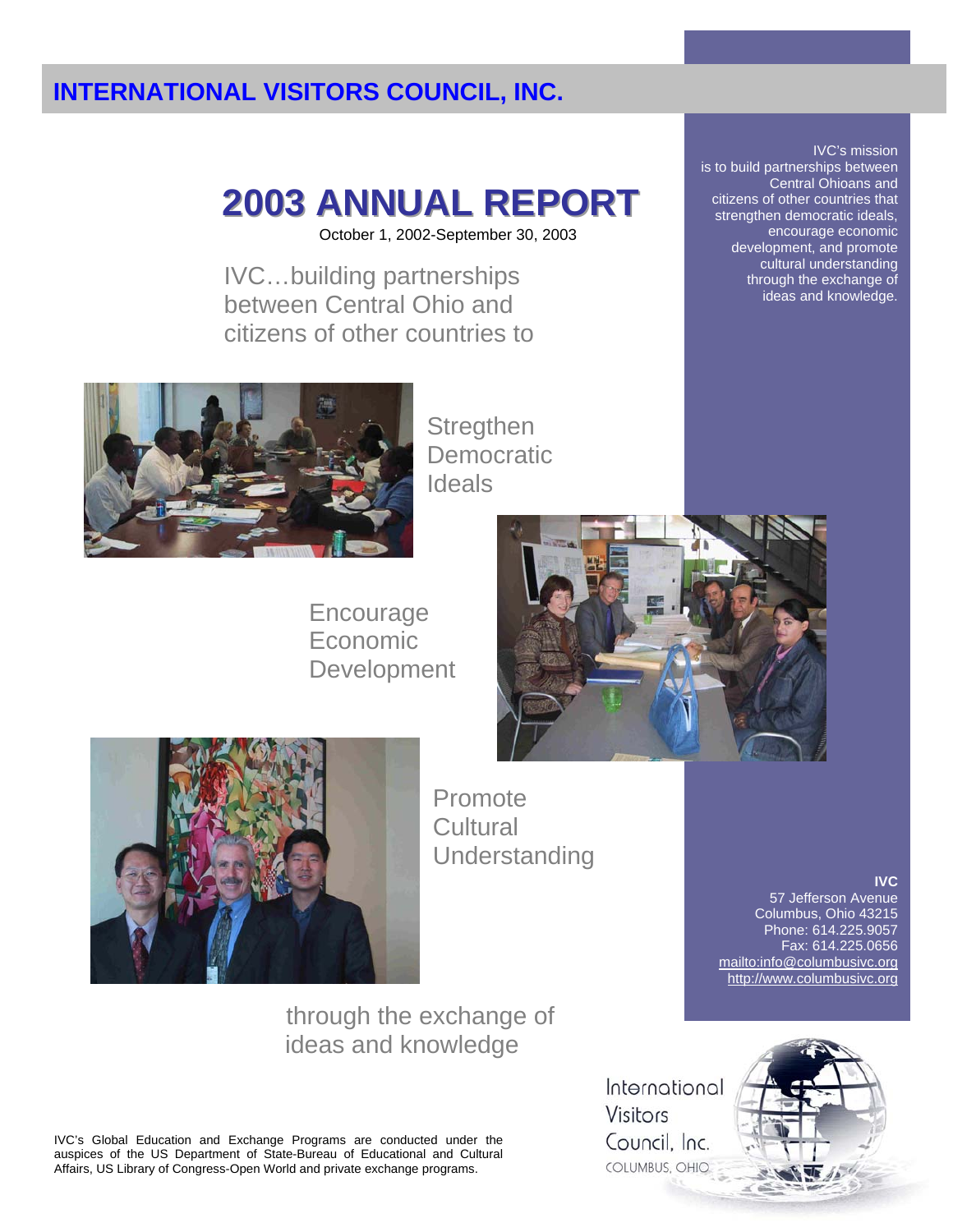# **2003 ANNUAL REPORT**

October 1, 2002-September 30, 2003

IVC…building partnerships between Central Ohio and citizens of other countries to



**Stregthen Democratic** Ideals

Encourage Economic Development





Promote **Cultural** Understanding

through the exchange of ideas and knowledge

IVC's Global Education and Exchange Programs are conducted under the auspices of the US Department of State-Bureau of Educational and Cultural Affairs, US Library of Congress-Open World and private exchange programs.

International **Visitors** Council, Inc. COLUMBUS, OHIO



mailto:info@columbusivc.org http://www.columbusivc.org

**IVC**

57 Jefferson Avenue Columbus, Ohio 43215 Phone: 614.225.9057 Fax: 614.225.0656

IVC's mission is to build partnerships between Central Ohioans and citizens of other countries that strengthen democratic ideals, encourage economic development, and promote cultural understanding through the exchange of ideas and knowledge.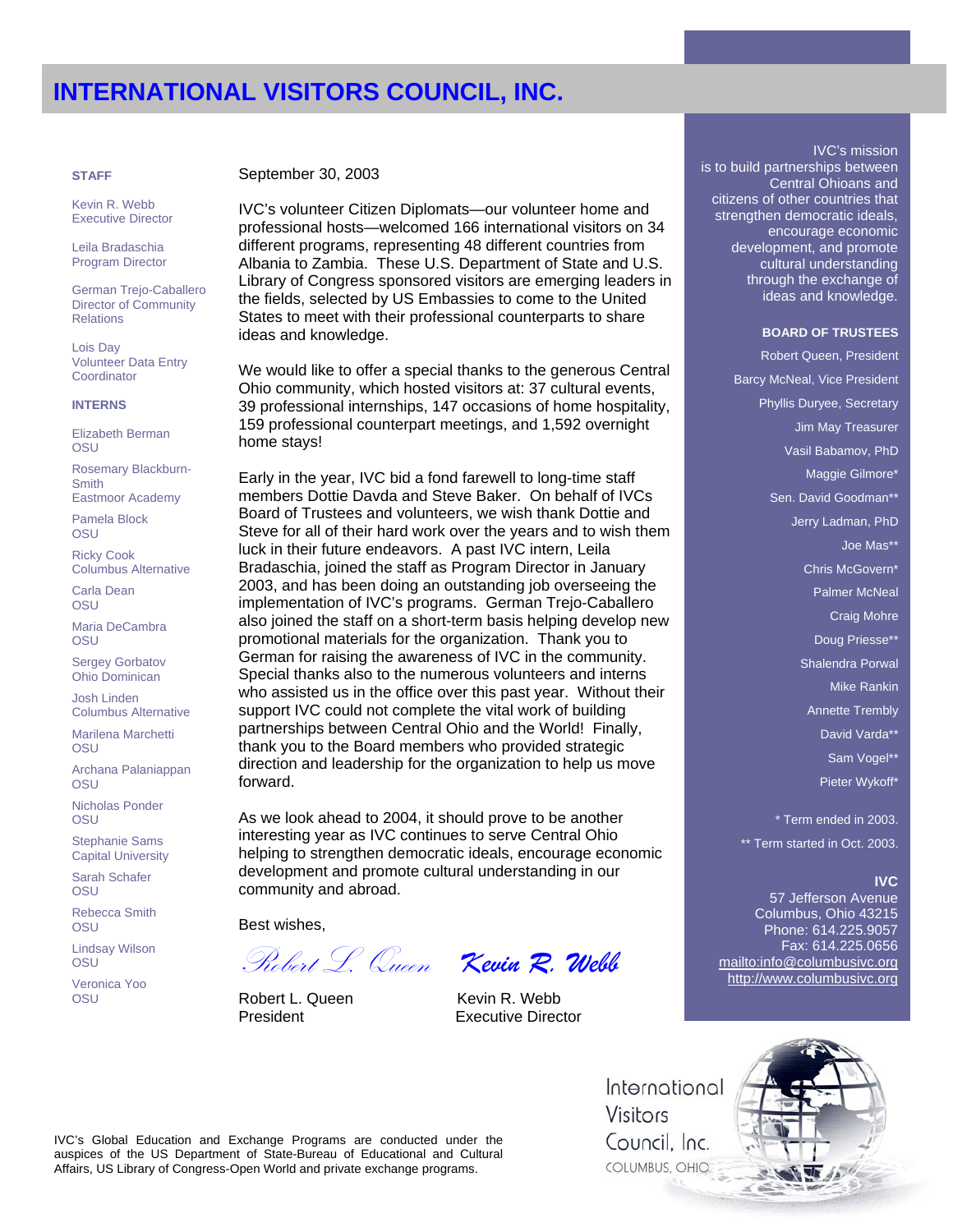Kevin R. Webb Executive Director

Leila Bradaschia Program Director

German Trejo-Caballero Director of Community **Relations** 

Lois Day Volunteer Data Entry **Coordinator** 

#### **INTERNS**

Elizabeth Berman **OSU** 

Rosemary Blackburn-**Smith** 

Eastmoor Academy Pamela Block

OSU

Ricky Cook Columbus Alternative

Carla Dean **OSU** 

Maria DeCambra **OSU** 

Sergey Gorbatov Ohio Dominican

Josh Linden Columbus Alternative

Marilena Marchetti **OSU** 

Archana Palaniappan **OSU** 

Nicholas Ponder **OSU** 

Stephanie Sams Capital University

Sarah Schafer **OSU** 

Rebecca Smith OSU

Lindsay Wilson **OSU** 

Veronica Yoo **OSU** 

**STAFF** September 30, 2003

IVC's volunteer Citizen Diplomats—our volunteer home and professional hosts—welcomed 166 international visitors on 34 different programs, representing 48 different countries from Albania to Zambia. These U.S. Department of State and U.S. Library of Congress sponsored visitors are emerging leaders in the fields, selected by US Embassies to come to the United States to meet with their professional counterparts to share ideas and knowledge. **BOARD OF TRUSTEES**

We would like to offer a special thanks to the generous Central Ohio community, which hosted visitors at: 37 cultural events, 39 professional internships, 147 occasions of home hospitality, 159 professional counterpart meetings, and 1,592 overnight home stays!

Early in the year, IVC bid a fond farewell to long-time staff members Dottie Davda and Steve Baker. On behalf of IVCs Board of Trustees and volunteers, we wish thank Dottie and Steve for all of their hard work over the years and to wish them luck in their future endeavors. A past IVC intern, Leila Bradaschia, joined the staff as Program Director in January 2003, and has been doing an outstanding job overseeing the implementation of IVC's programs. German Trejo-Caballero also joined the staff on a short-term basis helping develop new promotional materials for the organization. Thank you to German for raising the awareness of IVC in the community. Special thanks also to the numerous volunteers and interns who assisted us in the office over this past year. Without their support IVC could not complete the vital work of building partnerships between Central Ohio and the World! Finally, thank you to the Board members who provided strategic direction and leadership for the organization to help us move forward.

As we look ahead to 2004, it should prove to be another interesting year as IVC continues to serve Central Ohio helping to strengthen democratic ideals, encourage economic development and promote cultural understanding in our community and abroad.

Best wishes,

Robert L. Queen Kevin R. Webb President **Executive Director** 

Robert L. Queen *Kevin R. Webb*

#### IVC's mission

is to build partnerships between Central Ohioans and citizens of other countries that strengthen democratic ideals, encourage economic development, and promote cultural understanding through the exchange of ideas and knowledge.

Robert Queen, President Barcy McNeal, Vice President Phyllis Duryee, Secretary Jim May Treasurer Vasil Babamov, PhD Maggie Gilmore\* Sen. David Goodman\*\* Jerry Ladman, PhD Joe Mas\*\* Chris McGovern\* Palmer McNeal Craig Mohre Doug Priesse\*\* Shalendra Porwal Mike Rankin Annette Trembly David Varda\*\* Sam Vogel\*\* Pieter Wykoff\*

\* Term ended in 2003. \*\* Term started in Oct. 2003.

#### **IVC**

57 Jefferson Avenue Columbus, Ohio 43215 Phone: 614.225.9057 Fax: 614.225.0656 mailto:info@columbusivc.org http://www.columbusivc.org

International Visitors Council. Inc. COLUMBUS, OHIO

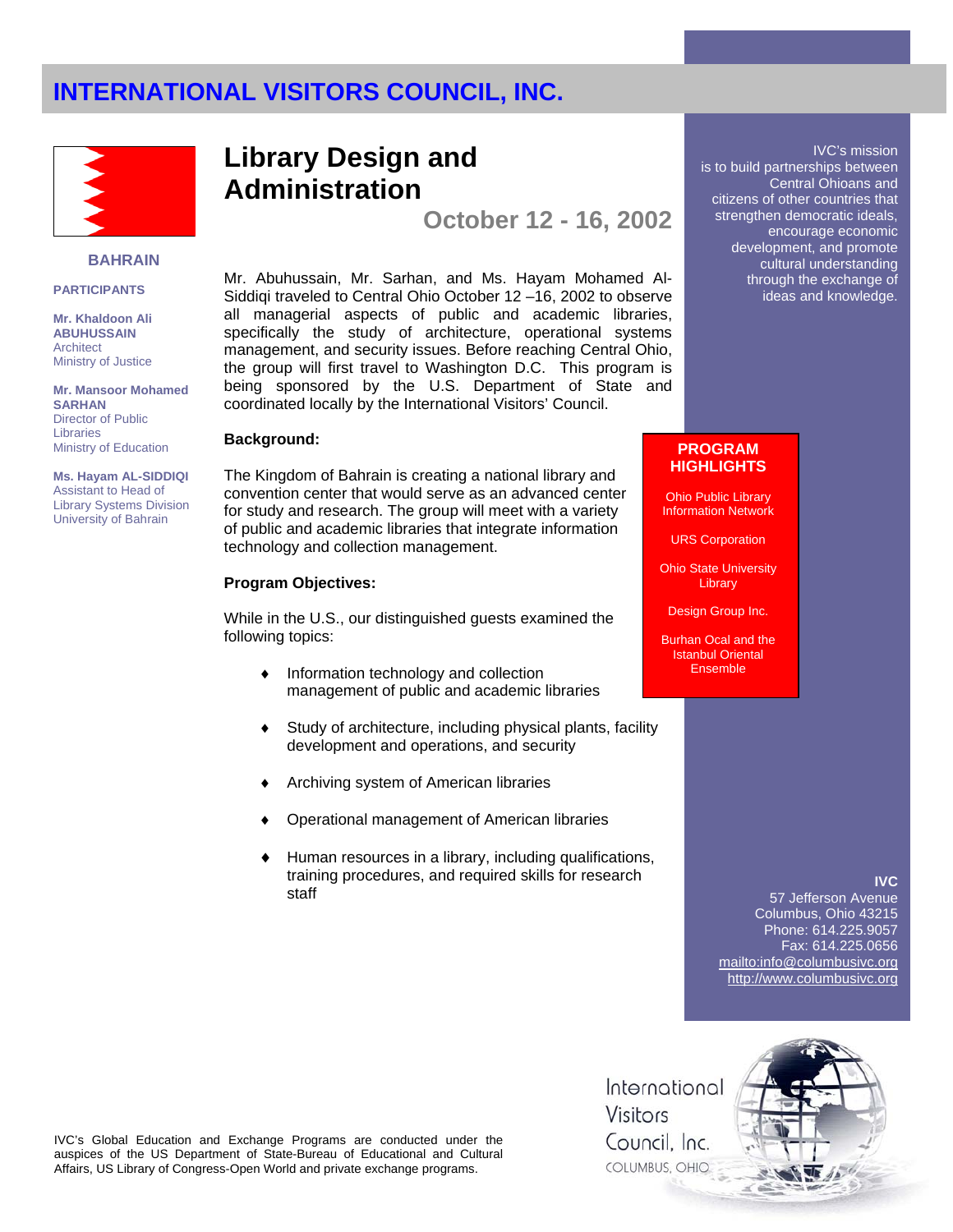

#### **BAHRAIN**

#### **PARTICIPANTS**

**Mr. Khaldoon Ali ABUHUSSAIN Architect** Ministry of Justice

**Mr. Mansoor Mohamed SARHAN** Director of Public Libraries Ministry of Education

**Ms. Hayam AL-SIDDIQI**  Assistant to Head of Library Systems Division University of Bahrain

## **Library Design and Administration**

**October 12 - 16, 2002** 

Mr. Abuhussain, Mr. Sarhan, and Ms. Hayam Mohamed Al-Siddiqi traveled to Central Ohio October 12 –16, 2002 to observe all managerial aspects of public and academic libraries, specifically the study of architecture, operational systems management, and security issues. Before reaching Central Ohio, the group will first travel to Washington D.C. This program is being sponsored by the U.S. Department of State and coordinated locally by the International Visitors' Council.

The Kingdom of Bahrain is creating a national library and convention center that would serve as an advanced center for study and research. The group will meet with a variety of public and academic libraries that integrate information technology and collection management.

### **Program Objectives:**

While in the U.S., our distinguished guests examined the following topics:

- ♦ Information technology and collection management of public and academic libraries
- ♦ Study of architecture, including physical plants, facility development and operations, and security
- Archiving system of American libraries
- Operational management of American libraries
- Human resources in a library, including qualifications, training procedures, and required skills for research staff

#### IVC's mission is to build partnerships between Central Ohioans and citizens of other countries that strengthen democratic ideals, encourage economic development, and promote cultural understanding through the exchange of ideas and knowledge.

## **Background:** PROGRAM **PROGRAM HIGHLIGHTS**

Ohio Public Library Information Network

URS Corporation

**Ohio State University Library** 

Design Group Inc.

Burhan Ocal and the Istanbul Oriental **Ensemble** 

### **IVC**

57 Jefferson Avenue Columbus, Ohio 43215 Phone: 614.225.9057 Fax: 614.225.0656 mailto:info@columbusivc.org http://www.columbusivc.org



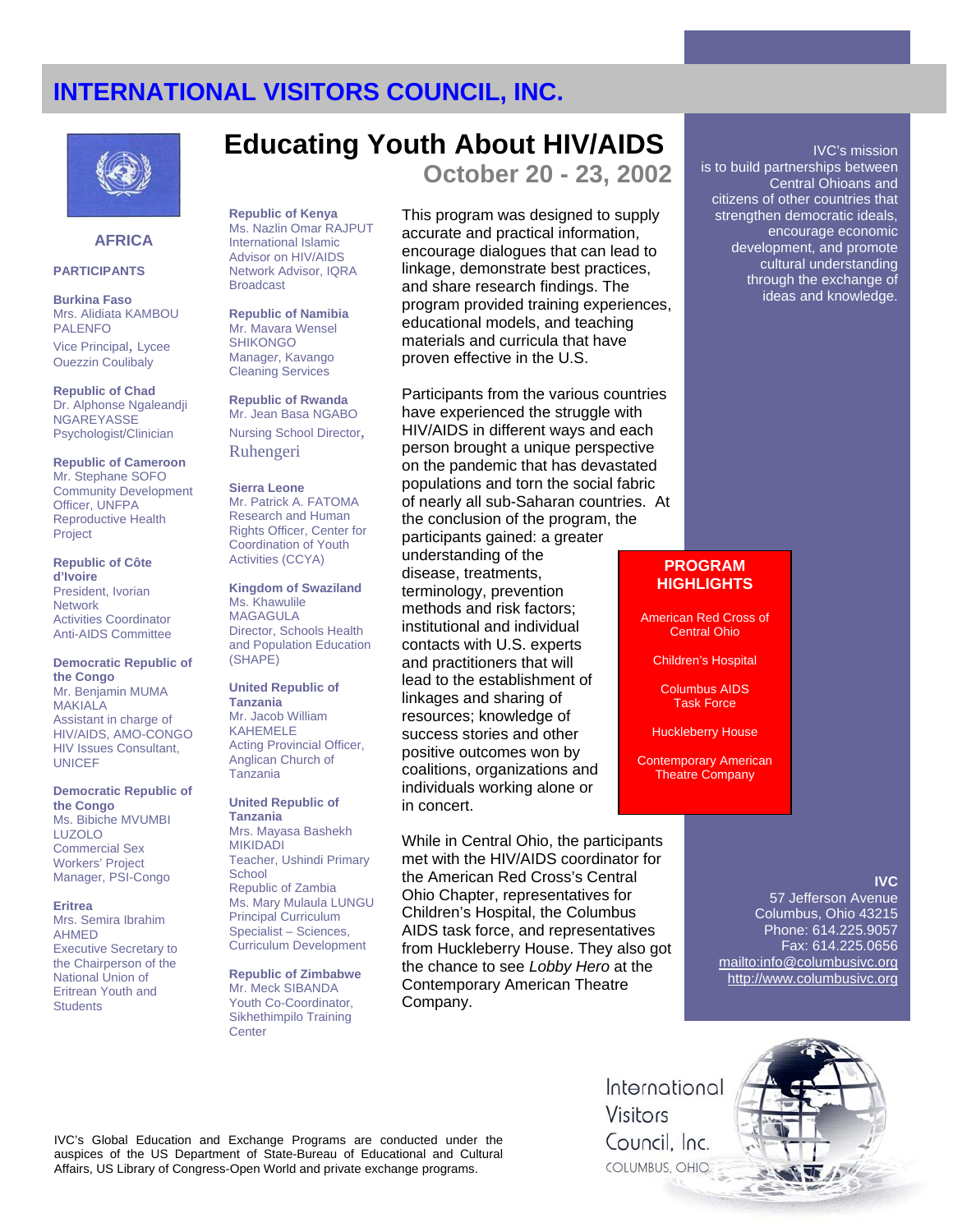

## **AFRICA**

#### **PARTICIPANTS**

**Burkina Faso** Mrs. Alidiata KAMBOU PALENFO

Vice Principal, Lycee Ouezzin Coulibaly

**Republic of Chad** Dr. Alphonse Ngaleandji **NGAREYASSE** Psychologist/Clinician

**Republic of Cameroon** Mr. Stephane SOFO Community Development Officer, UNFPA Reproductive Health Project

**Republic of Côte d'Ivoire** President, Ivorian Network Activities Coordinator Anti-AIDS Committee

#### **Democratic Republic of the Congo**

Mr. Benjamin MUMA MAKIALA Assistant in charge of HIV/AIDS, AMO-CONGO HIV Issues Consultant, **UNICEF** 

**Democratic Republic of the Congo**  Ms. Bibiche MVUMBI LUZOLO

Commercial Sex Workers' Project Manager, PSI-Congo

**Eritrea** 

Mrs. Semira Ibrahim AHMED Executive Secretary to the Chairperson of the National Union of Eritrean Youth and **Students** 

## **Educating Youth About HIV/AIDS October 20 - 23, 2002**

**Republic of Kenya** Ms. Nazlin Omar RAJPUT International Islamic Advisor on HIV/AIDS Network Advisor, IQRA Broadcast

**Republic of Namibia** Mr. Mavara Wensel **SHIKONGO** Manage*r*, Kavango Cleaning Services

**Republic of Rwanda** Mr. Jean Basa NGABO Nursing School Director,

**Sierra Leone**  Mr. Patrick A. FATOMA

Ruhengeri

Research and Human Rights Officer, Center for Coordination of Youth Activities (CCYA)

**Kingdom of Swaziland** Ms. Khawulile MAGAGULA Director, Schools Health and Population Education (SHAPE)

**United Republic of Tanzania**  Mr. Jacob William KAHEMELE Acting Provincial Officer, Anglican Church of Tanzania

**United Republic of Tanzania** 

Mrs. Mayasa Bashekh MIKIDADI Teacher, Ushindi Primary **School** Republic of Zambia Ms. Mary Mulaula LUNGU Principal Curriculum Specialist – Sciences, Curriculum Development

**Republic of Zimbabwe** Mr. Meck SIBANDA Youth Co-Coordinator, Sikhethimpilo Training **Center** 

This program was designed to supply accurate and practical information,

encourage dialogues that can lead to linkage, demonstrate best practices, and share research findings. The program provided training experiences, educational models, and teaching materials and curricula that have proven effective in the U.S.

Participants from the various countries have experienced the struggle with HIV/AIDS in different ways and each person brought a unique perspective on the pandemic that has devastated populations and torn the social fabric of nearly all sub-Saharan countries. At the conclusion of the program, the participants gained: a greater understanding of the disease, treatments, terminology, prevention methods and risk factors; institutional and individual contacts with U.S. experts and practitioners that will lead to the establishment of linkages and sharing of resources; knowledge of success stories and other positive outcomes won by coalitions, organizations and individuals working alone or in concert.

While in Central Ohio, the participants met with the HIV/AIDS coordinator for the American Red Cross's Central Ohio Chapter, representatives for Children's Hospital, the Columbus AIDS task force, and representatives from Huckleberry House. They also got the chance to see *Lobby Hero* at the Contemporary American Theatre Company.

IVC's mission

is to build partnerships between Central Ohioans and citizens of other countries that strengthen democratic ideals, encourage economic development, and promote cultural understanding through the exchange of ideas and knowledge.

### **PROGRAM HIGHLIGHTS**

American Red Cross of Central Ohio

Children's Hospital

Columbus AIDS Task Force

Huckleberry House

Contemporary American Theatre Company

### **IVC**

57 Jefferson Avenue Columbus, Ohio 43215 Phone: 614.225.9057 Fax: 614.225.0656 mailto:info@columbusivc.org http://www.columbusivc.org

IVC's Global Education and Exchange Programs are conducted under the auspices of the US Department of State-Bureau of Educational and Cultural Affairs, US Library of Congress-Open World and private exchange programs.

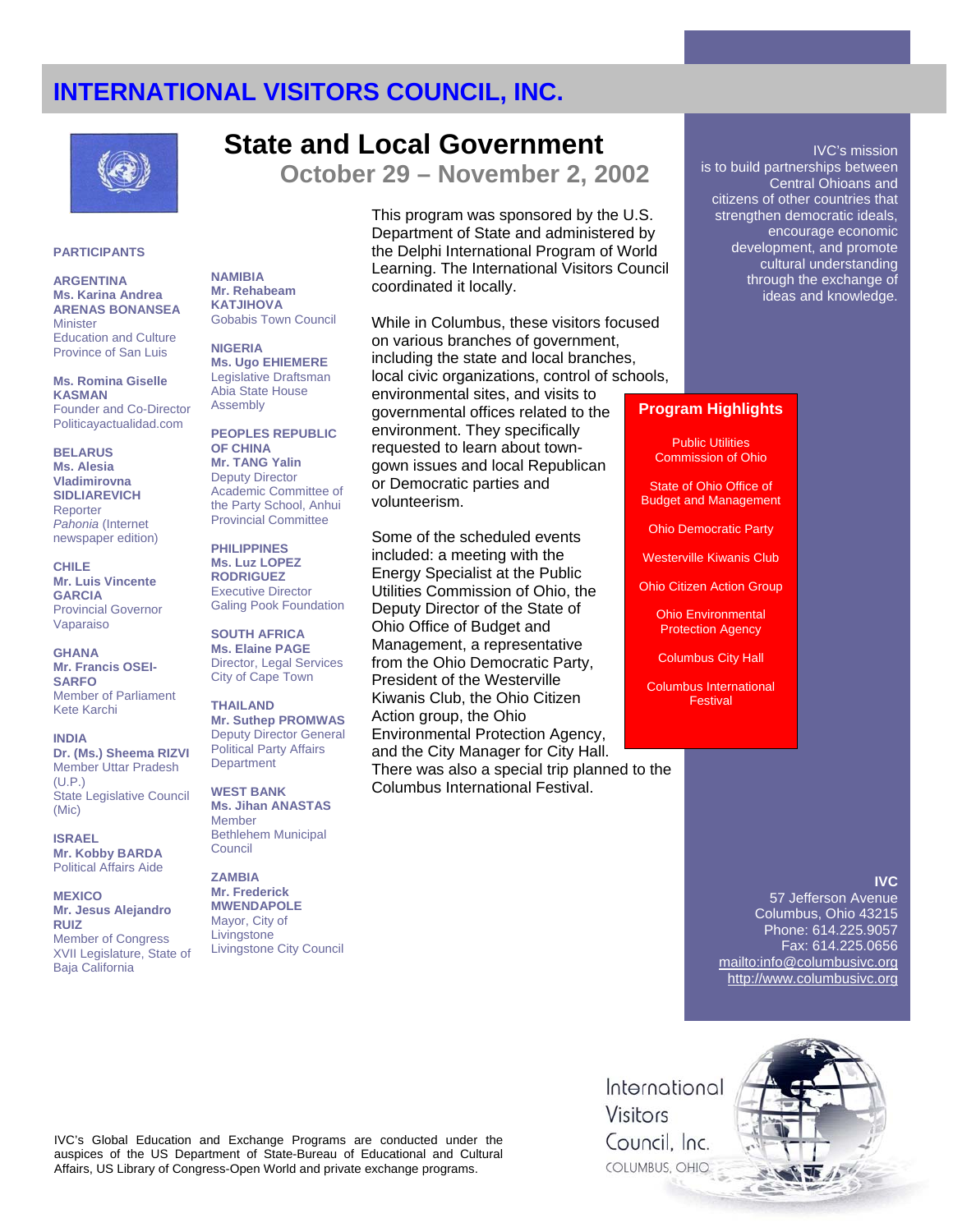

## **State and Local Government**

**October 29 – November 2, 2002** 

### **PARTICIPANTS**

**ARGENTINA Ms. Karina Andrea ARENAS BONANSEA Minister** Education and Culture Province of San Luis

**Ms. Romina Giselle KASMAN**  Founder and Co-Director Politicayactualidad.com

**BELARUS Ms. Alesia Vladimirovna SIDLIAREVICH** Reporter *Pahonia* (Internet newspaper edition)

**CHILE Mr. Luis Vincente GARCIA** Provincial Governor Vaparaiso

**GHANA Mr. Francis OSEI-SARFO** Member of Parliament Kete Karchi

**INDIA Dr. (Ms.) Sheema RIZVI**  Member Uttar Pradesh  $(ULP)$ State Legislative Council (Mic)

**ISRAEL Mr. Kobby BARDA** Political Affairs Aide

**MEXICO Mr. Jesus Alejandro RUIZ**  Member of Congress XVII Legislature, State of Baja California

**NAMIBIA Mr. Rehabeam KATJIHOVA** Gobabis Town Council

**NIGERIA Ms. Ugo EHIEMERE**  Legislative Draftsman Abia State House Assembly

**PEOPLES REPUBLIC OF CHINA Mr. TANG Yalin** Deputy Director Academic Committee of the Party School, Anhui Provincial Committee

**PHILIPPINES Ms. Luz LOPEZ RODRIGUEZ**  Executive Director Galing Pook Foundation

**SOUTH AFRICA Ms. Elaine PAGE** Director, Legal Services City of Cape Town

**THAILAND Mr. Suthep PROMWAS**  Deputy Director General Political Party Affairs **Department** 

**WEST BANK Ms. Jihan ANASTAS** Member Bethlehem Municipal Council

**ZAMBIA Mr. Frederick MWENDAPOLE** Mayor, City of Livingstone Livingstone City Council This program was sponsored by the U.S. Department of State and administered by the Delphi International Program of World Learning. The International Visitors Council coordinated it locally.

While in Columbus, these visitors focused on various branches of government, including the state and local branches, local civic organizations, control of schools, environmental sites, and visits to governmental offices related to the environment. They specifically requested to learn about towngown issues and local Republican or Democratic parties and volunteerism.

Some of the scheduled events included: a meeting with the Energy Specialist at the Public Utilities Commission of Ohio, the Deputy Director of the State of Ohio Office of Budget and Management, a representative from the Ohio Democratic Party, President of the Westerville Kiwanis Club, the Ohio Citizen Action group, the Ohio Environmental Protection Agency, and the City Manager for City Hall. There was also a special trip planned to the Columbus International Festival.

IVC's mission is to build partnerships between Central Ohioans and citizens of other countries that strengthen democratic ideals, encourage economic development, and promote cultural understanding through the exchange of ideas and knowledge.

### **Program Highlights**

Public Utilities Commission of Ohio

State of Ohio Office of Budget and Management

Ohio Democratic Party

Westerville Kiwanis Club

Ohio Citizen Action Group

Ohio Environmental Protection Agency

Columbus City Hall

Columbus International Festival

## **IVC**

57 Jefferson Avenue Columbus, Ohio 43215 Phone: 614.225.9057 Fax: 614.225.0656 mailto:info@columbusivc.org http://www.columbusivc.org



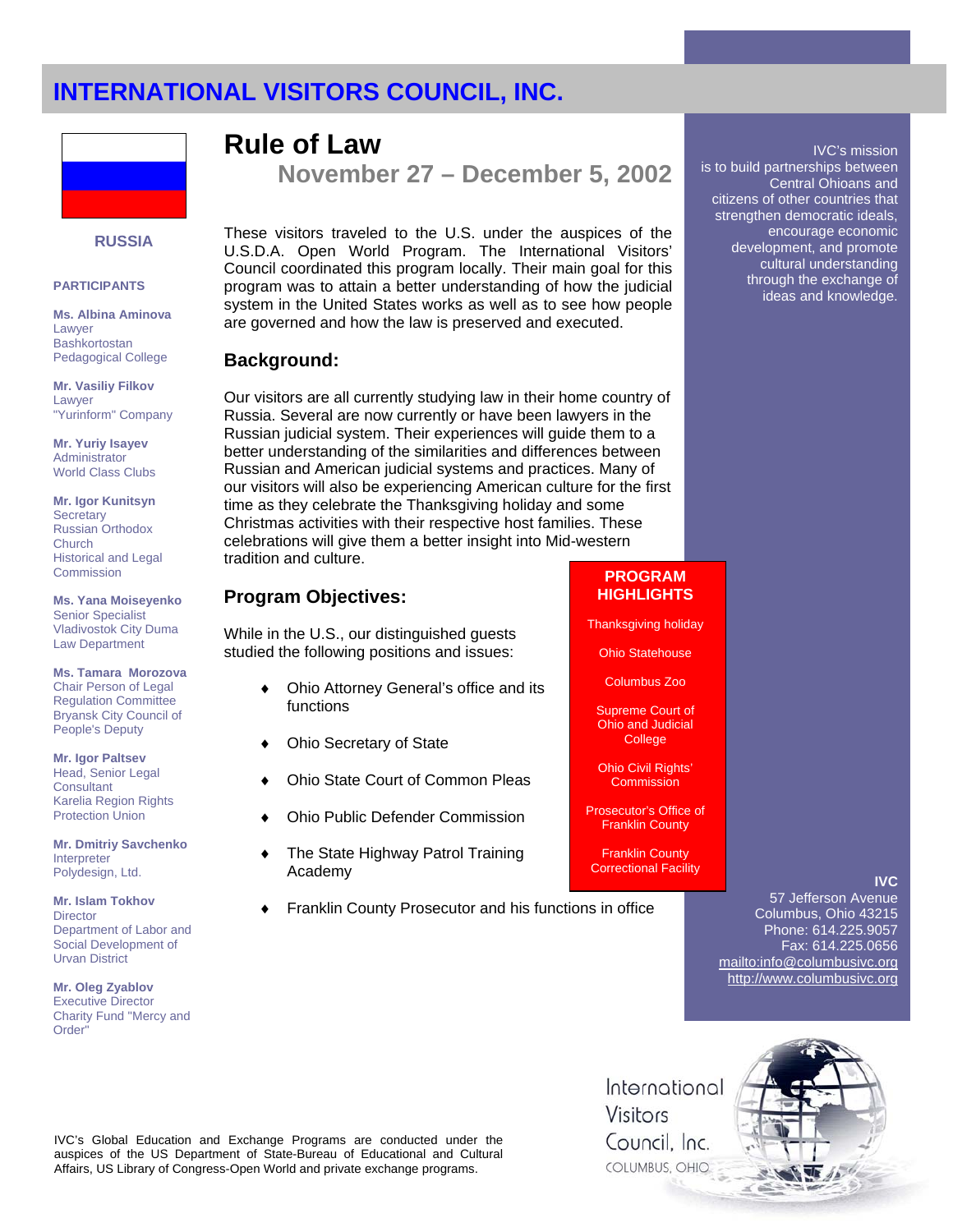

## **RUSSIA**

#### **PARTICIPANTS**

**Ms. Albina Aminova** Lawyer Bashkortostan Pedagogical College

**Mr. Vasiliy Filkov** Lawyer "Yurinform" Company

**Mr. Yuriy Isayev** Administrator World Class Clubs

**Mr. Igor Kunitsyn Secretary** Russian Orthodox Church Historical and Legal **Commission** 

**Ms. Yana Moiseyenko**  Senior Specialist Vladivostok City Duma Law Department

**Ms. Tamara Morozova** Chair Person of Legal Regulation Committee Bryansk City Council of People's Deputy

**Mr. Igor Paltsev** Head, Senior Legal **Consultant** Karelia Region Rights Protection Union

**Mr. Dmitriy Savchenko**  Interpreter Polydesign, Ltd.

**Mr. Islam Tokhov Director** Department of Labor and Social Development of Urvan District

**Mr. Oleg Zyablov** Executive Director Charity Fund "Mercy and Order"

**Rule of Law** 

**November 27 – December 5, 2002** 

These visitors traveled to the U.S. under the auspices of the U.S.D.A. Open World Program. The International Visitors' Council coordinated this program locally. Their main goal for this program was to attain a better understanding of how the judicial system in the United States works as well as to see how people are governed and how the law is preserved and executed.

## **Background:**

Our visitors are all currently studying law in their home country of Russia. Several are now currently or have been lawyers in the Russian judicial system. Their experiences will guide them to a better understanding of the similarities and differences between Russian and American judicial systems and practices. Many of our visitors will also be experiencing American culture for the first time as they celebrate the Thanksgiving holiday and some Christmas activities with their respective host families. These celebrations will give them a better insight into Mid-western tradition and culture.

## **Program Objectives:**

While in the U.S., our distinguished guests studied the following positions and issues:

- ♦ Ohio Attorney General's office and its functions
- Ohio Secretary of State
- **Ohio State Court of Common Pleas**
- **Ohio Public Defender Commission**
- The State Highway Patrol Training Academy
- Franklin County Prosecutor and his functions in office

## **PROGRAM HIGHLIGHTS**

Thanksgiving holiday

Ohio Statehouse

Columbus Zoo

Supreme Court of Ohio and Judicial **College** 

Ohio Civil Rights' **Commission** 

Prosecutor's Office of Franklin County

Franklin County Correctional Facility

## **IVC**

IVC's mission

Central Ohioans and

encourage economic development, and promote cultural understanding through the exchange of ideas and knowledge.

is to build partnerships between

citizens of other countries that strengthen democratic ideals,

57 Jefferson Avenue Columbus, Ohio 43215 Phone: 614.225.9057 Fax: 614.225.0656 mailto:info@columbusivc.org http://www.columbusivc.org

IVC's Global Education and Exchange Programs are conducted under the auspices of the US Department of State-Bureau of Educational and Cultural Affairs, US Library of Congress-Open World and private exchange programs.

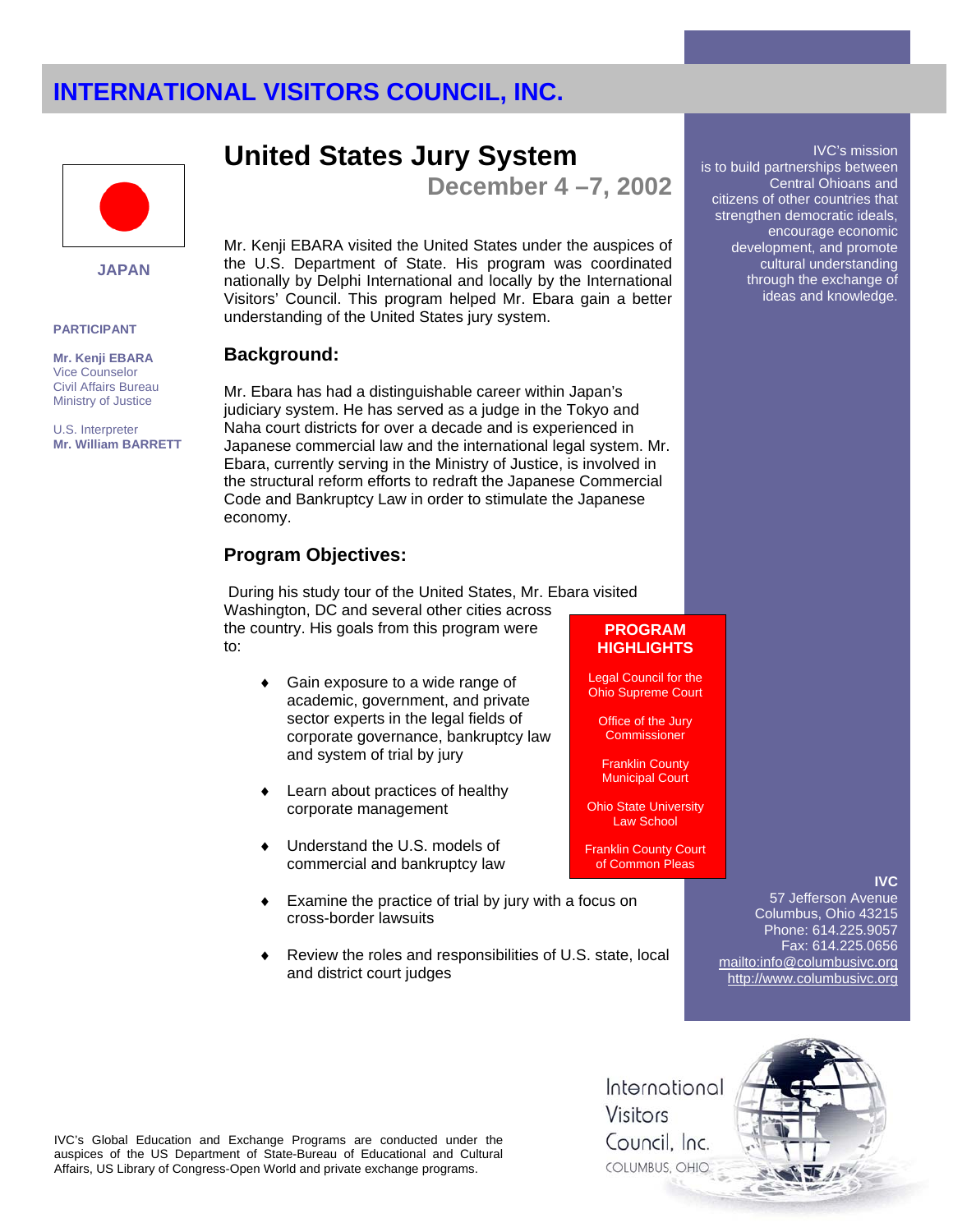

**JAPAN** 

#### **PARTICIPANT**

**Mr. Kenji EBARA** Vice Counselor Civil Affairs Bureau Ministry of Justice

U.S. Interpreter **Mr. William BARRETT** 

## **United States Jury System**

**December 4 –7, 2002** 

Mr. Kenji EBARA visited the United States under the auspices of the U.S. Department of State. His program was coordinated nationally by Delphi International and locally by the International Visitors' Council. This program helped Mr. Ebara gain a better understanding of the United States jury system.

### **Background:**

Mr. Ebara has had a distinguishable career within Japan's judiciary system. He has served as a judge in the Tokyo and Naha court districts for over a decade and is experienced in Japanese commercial law and the international legal system. Mr. Ebara, currently serving in the Ministry of Justice, is involved in the structural reform efforts to redraft the Japanese Commercial Code and Bankruptcy Law in order to stimulate the Japanese economy.

## **Program Objectives:**

 During his study tour of the United States, Mr. Ebara visited Washington, DC and several other cities across the country. His goals from this program were

to:

- Gain exposure to a wide range of academic, government, and private sector experts in the legal fields of corporate governance, bankruptcy law and system of trial by jury
- Learn about practices of healthy corporate management
- Understand the U.S. models of commercial and bankruptcy law
- Examine the practice of trial by jury with a focus on cross-border lawsuits
- Review the roles and responsibilities of U.S. state, local and district court judges

### **PROGRAM HIGHLIGHTS**

Legal Council for the Ohio Supreme Court

Office of the Jury **Commissioner** 

Franklin County Municipal Court

Ohio State University Law School

Franklin County Court of Common Pleas

### **IVC**

IVC's mission

Central Ohioans and

encourage economic development, and promote cultural understanding through the exchange of ideas and knowledge.

is to build partnerships between

citizens of other countries that strengthen democratic ideals,

57 Jefferson Avenue Columbus, Ohio 43215 Phone: 614.225.9057 Fax: 614.225.0656 mailto:info@columbusivc.org http://www.columbusivc.org



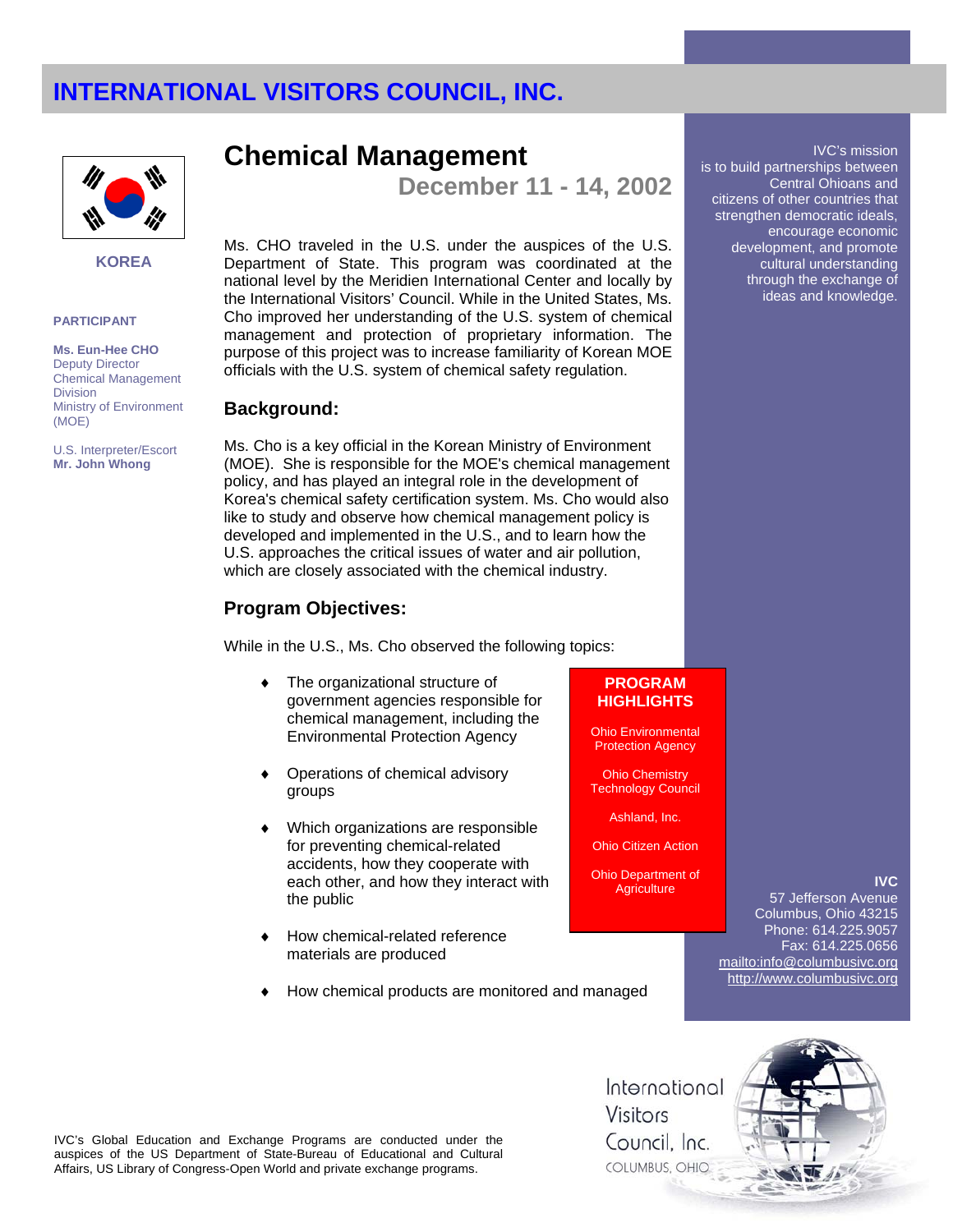

#### **KOREA**

#### **PARTICIPANT**

**Ms. Eun-Hee CHO**  Deputy Director Chemical Management **Division** Ministry of Environment (MOE)

U.S. Interpreter/Escort **Mr. John Whong**

**Chemical Management** 

**December 11 - 14, 2002** 

Ms. CHO traveled in the U.S. under the auspices of the U.S. Department of State. This program was coordinated at the national level by the Meridien International Center and locally by the International Visitors' Council. While in the United States, Ms. Cho improved her understanding of the U.S. system of chemical management and protection of proprietary information. The purpose of this project was to increase familiarity of Korean MOE officials with the U.S. system of chemical safety regulation.

### **Background:**

Ms. Cho is a key official in the Korean Ministry of Environment (MOE). She is responsible for the MOE's chemical management policy, and has played an integral role in the development of Korea's chemical safety certification system. Ms. Cho would also like to study and observe how chemical management policy is developed and implemented in the U.S., and to learn how the U.S. approaches the critical issues of water and air pollution, which are closely associated with the chemical industry.

## **Program Objectives:**

While in the U.S., Ms. Cho observed the following topics:

- The organizational structure of government agencies responsible for chemical management, including the Environmental Protection Agency
- ♦ Operations of chemical advisory groups
- Which organizations are responsible for preventing chemical-related accidents, how they cooperate with each other, and how they interact with the public
- How chemical-related reference materials are produced
- How chemical products are monitored and managed

## **PROGRAM HIGHLIGHTS**

Ohio Environmental Protection Agency

Ohio Chemistry Technology Council

Ashland, Inc.

Ohio Citizen Action

Ohio Department of **Agriculture** 

### **IVC**

IVC's mission

Central Ohioans and

is to build partnerships between

citizens of other countries that strengthen democratic ideals, encourage economic development, and promote cultural understanding through the exchange of ideas and knowledge.

57 Jefferson Avenue Columbus, Ohio 43215 Phone: 614.225.9057 Fax: 614.225.0656 mailto:info@columbusivc.org http://www.columbusivc.org



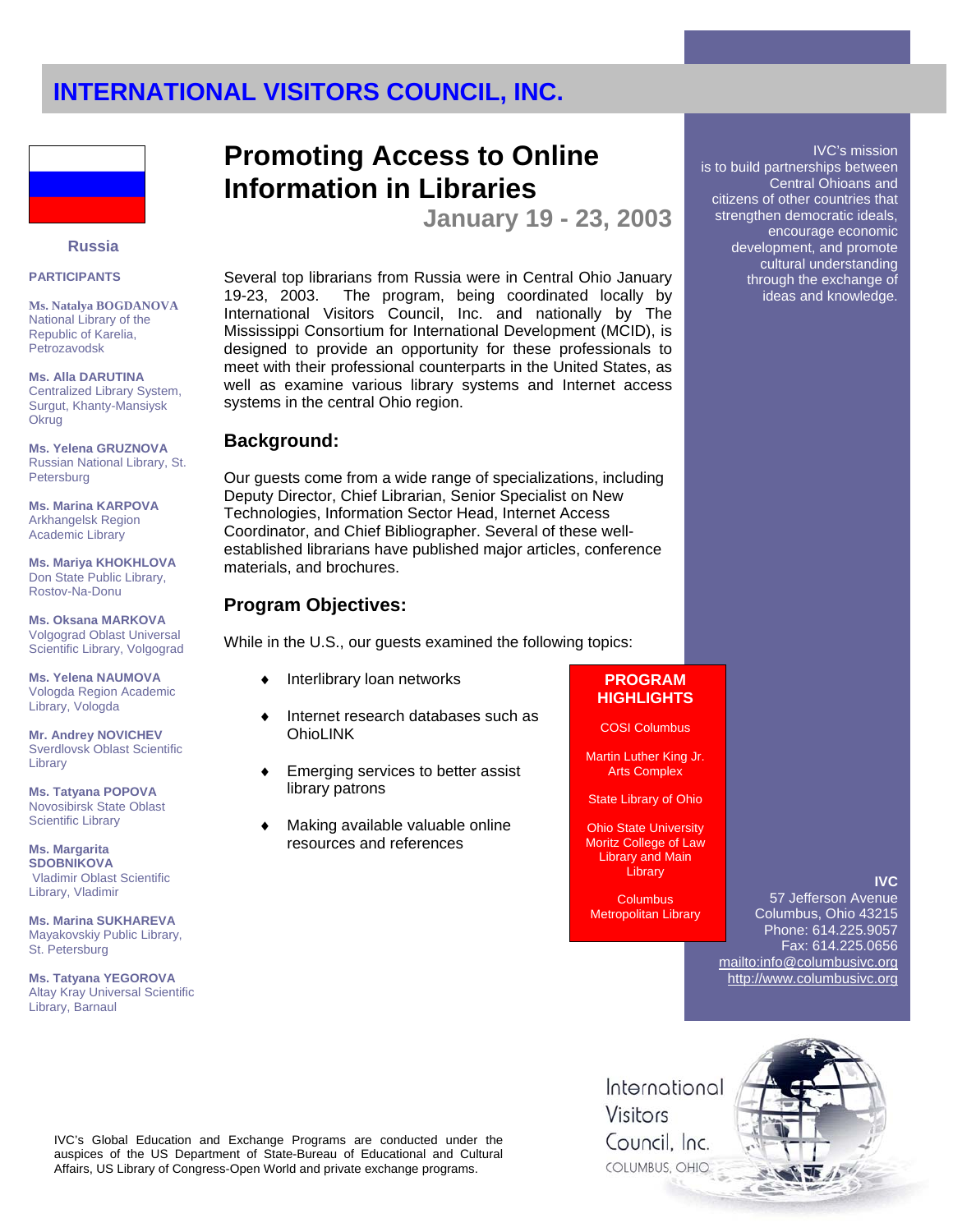

#### **Russia**

#### **PARTICIPANTS**

**Ms. Natalya BOGDANOVA**  National Library of the Republic of Karelia, Petrozavodsk

**Ms. Alla DARUTINA** Centralized Library System, Surgut, Khanty-Mansiysk **Okrug** 

**Ms. Yelena GRUZNOVA** Russian National Library, St. Petersburg

**Ms. Marina KARPOVA** Arkhangelsk Region Academic Library

**Ms. Mariya KHOKHLOVA** Don State Public Library, Rostov-Na-Donu

**Ms. Oksana MARKOVA** Volgograd Oblast Universal Scientific Library, Volgograd

**Ms. Yelena NAUMOVA** Vologda Region Academic Library, Vologda

**Mr. Andrey NOVICHEV**  Sverdlovsk Oblast Scientific Library

**Ms. Tatyana POPOVA** Novosibirsk State Oblast Scientific Library

**Ms. Margarita SDOBNIKOVA** Vladimir Oblast Scientific Library, Vladimir

**Ms. Marina SUKHAREVA** Mayakovskiy Public Library, St. Petersburg

**Ms. Tatyana YEGOROVA** Altay Kray Universal Scientific Library, Barnaul

# **Promoting Access to Online Information in Libraries**

**January 19 - 23, 2003** 

Several top librarians from Russia were in Central Ohio January 19-23, 2003. The program, being coordinated locally by International Visitors Council, Inc. and nationally by The Mississippi Consortium for International Development (MCID), is designed to provide an opportunity for these professionals to meet with their professional counterparts in the United States, as well as examine various library systems and Internet access systems in the central Ohio region.

### **Background:**

Our guests come from a wide range of specializations, including Deputy Director, Chief Librarian, Senior Specialist on New Technologies, Information Sector Head, Internet Access Coordinator, and Chief Bibliographer. Several of these wellestablished librarians have published major articles, conference materials, and brochures.

### **Program Objectives:**

While in the U.S., our guests examined the following topics:

- Interlibrary loan networks
- Internet research databases such as **OhioLINK**
- Emerging services to better assist library patrons
- Making available valuable online resources and references

## **PROGRAM HIGHLIGHTS**

COSI Columbus

Martin Luther King Jr. Arts Complex

State Library of Ohio

Ohio State University Moritz College of Law Library and Main Library

**Columbus** Metropolitan Library **IVC**

57 Jefferson Avenue Columbus, Ohio 43215 Phone: 614.225.9057 Fax: 614.225.0656 mailto:info@columbusivc.org http://www.columbusivc.org

## IVC's Global Education and Exchange Programs are conducted under the auspices of the US Department of State-Bureau of Educational and Cultural Affairs, US Library of Congress-Open World and private exchange programs.

International Visitors Council, Inc. COLUMBUS, OHIO



IVC's mission is to build partnerships between Central Ohioans and citizens of other countries that strengthen democratic ideals, encourage economic development, and promote cultural understanding through the exchange of ideas and knowledge.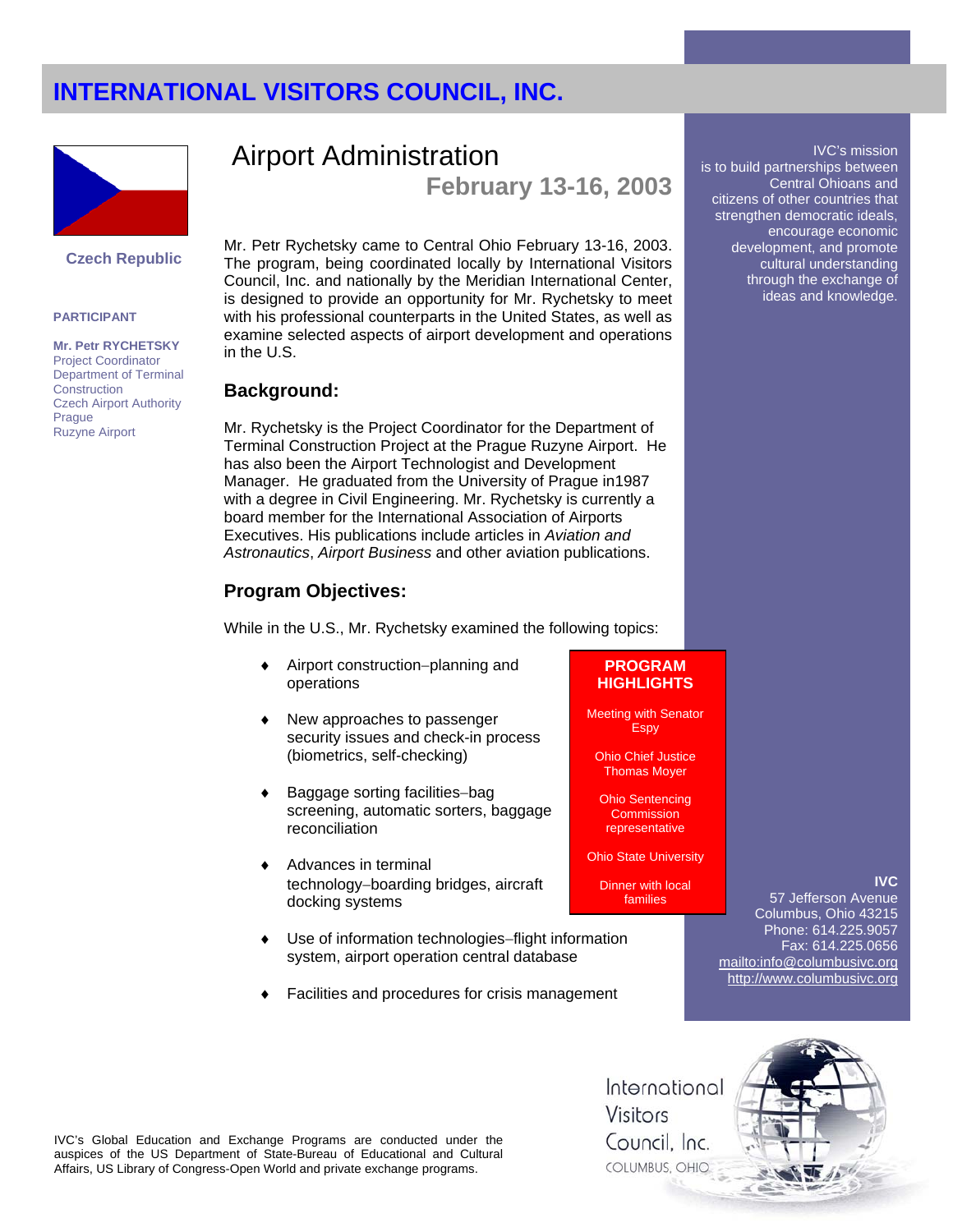

### **Czech Republic**

#### **PARTICIPANT**

**Mr. Petr RYCHETSKY**  Project Coordinator Department of Terminal **Construction** Czech Airport Authority Prague Ruzyne Airport

## Airport Administration **February 13-16, 2003**

Mr. Petr Rychetsky came to Central Ohio February 13-16, 2003. The program, being coordinated locally by International Visitors Council, Inc. and nationally by the Meridian International Center, is designed to provide an opportunity for Mr. Rychetsky to meet with his professional counterparts in the United States, as well as examine selected aspects of airport development and operations in the U.S.

### **Background:**

Mr. Rychetsky is the Project Coordinator for the Department of Terminal Construction Project at the Prague Ruzyne Airport. He has also been the Airport Technologist and Development Manager. He graduated from the University of Prague in1987 with a degree in Civil Engineering. Mr. Rychetsky is currently a board member for the International Association of Airports Executives. His publications include articles in *Aviation and Astronautics*, *Airport Business* and other aviation publications.

## **Program Objectives:**

While in the U.S., Mr. Rychetsky examined the following topics:

- Airport construction–planning and operations
- New approaches to passenger security issues and check-in process (biometrics, self-checking)
- Baggage sorting facilities–bag screening, automatic sorters, baggage reconciliation
- Advances in terminal technology−boarding bridges, aircraft docking systems
- Use of information technologies-flight information system, airport operation central database
- Facilities and procedures for crisis management

## **PROGRAM HIGHLIGHTS**

Meeting with Senator **Espy** 

Ohio Chief Justice Thomas Moyer

Ohio Sentencing **Commission** representative

Ohio State University

Dinner with local families

57 Jefferson Avenue Columbus, Ohio 43215 Phone: 614.225.9057 Fax: 614.225.0656 mailto:info@columbusivc.org http://www.columbusivc.org

**IVC**

IVC's mission

Central Ohioans and

encourage economic development, and promote cultural understanding through the exchange of ideas and knowledge.

is to build partnerships between

citizens of other countries that strengthen democratic ideals,



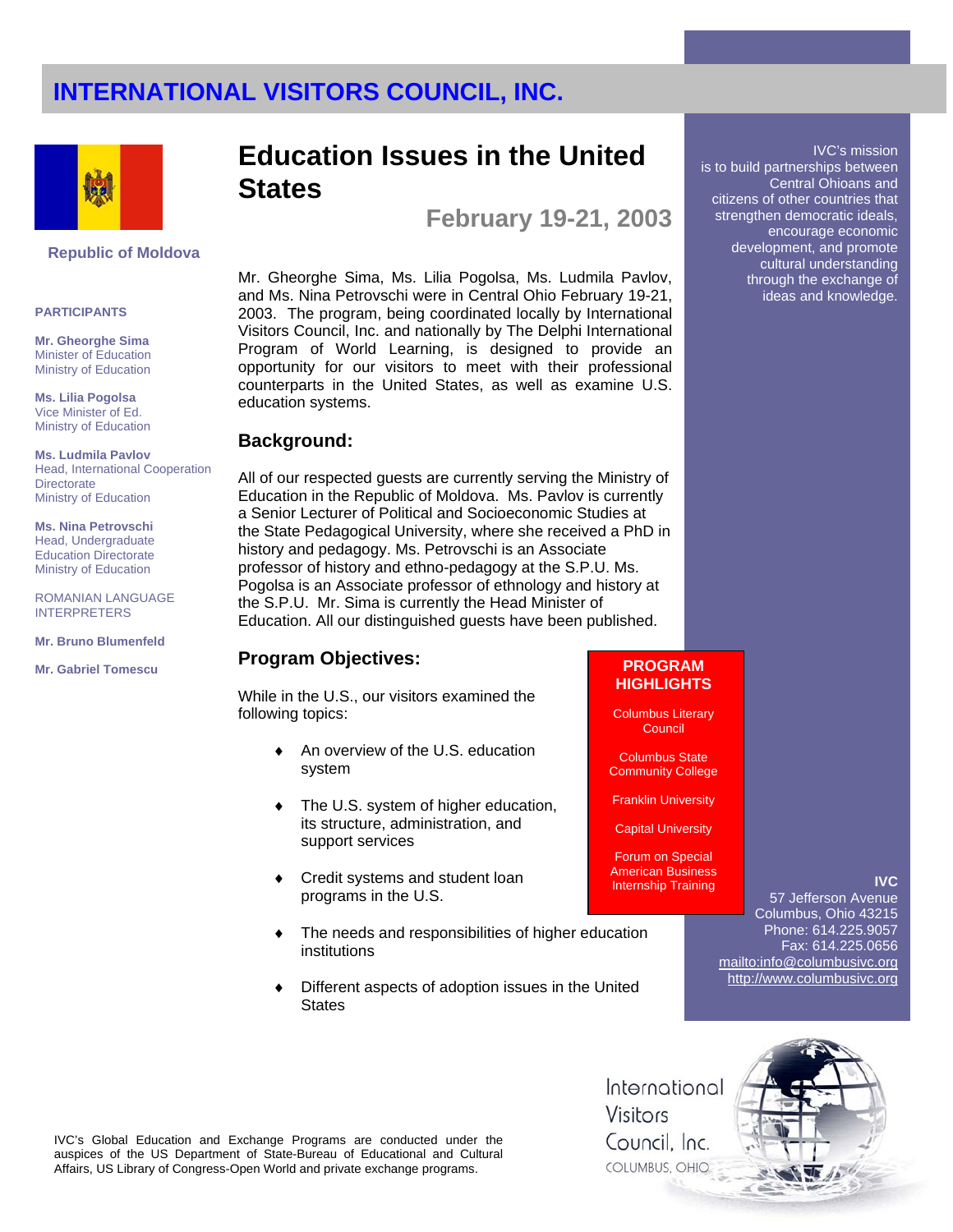

#### **Republic of Moldova**

#### **PARTICIPANTS**

**Mr. Gheorghe Sima**  Minister of Education Ministry of Education

**Ms. Lilia Pogolsa** Vice Minister of Ed. Ministry of Education

**Ms. Ludmila Pavlov** Head, International Cooperation **Directorate** Ministry of Education

**Ms. Nina Petrovschi** Head, Undergraduate Education Directorate Ministry of Education

ROMANIAN LANGUAGE INTERPRETERS

**Mr. Bruno Blumenfeld**

**Mr. Gabriel Tomescu**

## **Education Issues in the United States**

**February 19-21, 2003** 

Mr. Gheorghe Sima, Ms. Lilia Pogolsa, Ms. Ludmila Pavlov, and Ms. Nina Petrovschi were in Central Ohio February 19-21, 2003. The program, being coordinated locally by International Visitors Council, Inc. and nationally by The Delphi International Program of World Learning, is designed to provide an opportunity for our visitors to meet with their professional counterparts in the United States, as well as examine U.S. education systems.

### **Background:**

All of our respected guests are currently serving the Ministry of Education in the Republic of Moldova. Ms. Pavlov is currently a Senior Lecturer of Political and Socioeconomic Studies at the State Pedagogical University, where she received a PhD in history and pedagogy. Ms. Petrovschi is an Associate professor of history and ethno-pedagogy at the S.P.U. Ms. Pogolsa is an Associate professor of ethnology and history at the S.P.U. Mr. Sima is currently the Head Minister of Education. All our distinguished guests have been published.

## **Program Objectives:** Program 2016

While in the U.S., our visitors examined the following topics:

- An overview of the U.S. education system
- ♦ The U.S. system of higher education, its structure, administration, and support services
- ♦ Credit systems and student loan programs in the U.S.
- ♦ The needs and responsibilities of higher education institutions
- Different aspects of adoption issues in the United **States**

# **HIGHLIGHTS**

Columbus Literary Council

Columbus State Community College

Franklin University

Capital University

Forum on Special American Business Internship Training

## **IVC**

IVC's mission

Central Ohioans and

is to build partnerships between

citizens of other countries that strengthen democratic ideals, encourage economic development, and promote cultural understanding through the exchange of ideas and knowledge.

57 Jefferson Avenue Columbus, Ohio 43215 Phone: 614.225.9057 Fax: 614.225.0656 mailto:info@columbusivc.org http://www.columbusivc.org



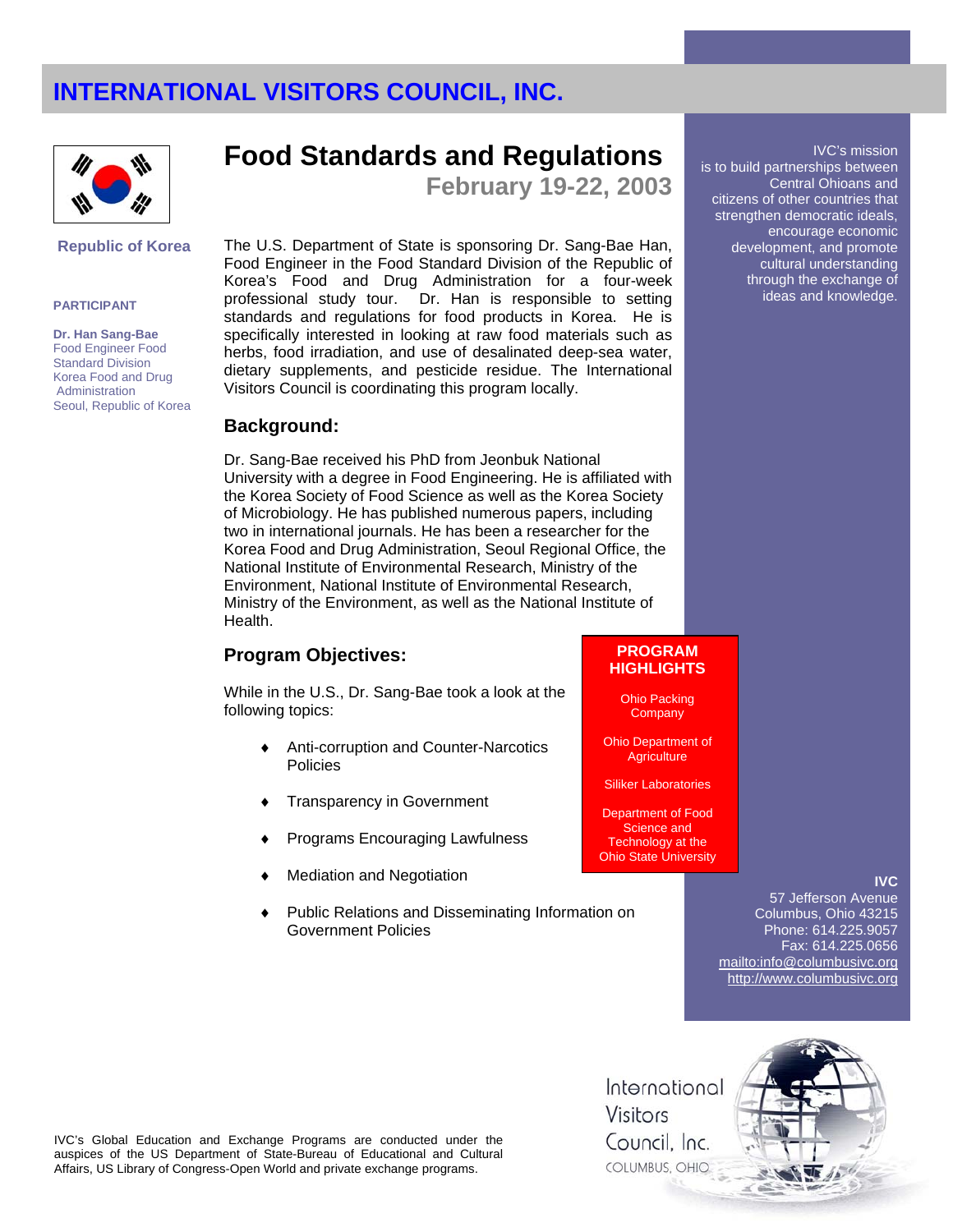

### **Republic of Korea**

#### **PARTICIPANT**

**Dr. Han Sang-Bae**  Food Engineer Food Standard Division Korea Food and Drug Administration Seoul, Republic of Korea

## **Food Standards and Regulations**

**February 19-22, 2003** 

The U.S. Department of State is sponsoring Dr. Sang-Bae Han, Food Engineer in the Food Standard Division of the Republic of Korea's Food and Drug Administration for a four-week professional study tour. Dr. Han is responsible to setting standards and regulations for food products in Korea. He is specifically interested in looking at raw food materials such as herbs, food irradiation, and use of desalinated deep-sea water, dietary supplements, and pesticide residue. The International Visitors Council is coordinating this program locally.

### **Background:**

Dr. Sang-Bae received his PhD from Jeonbuk National University with a degree in Food Engineering. He is affiliated with the Korea Society of Food Science as well as the Korea Society of Microbiology. He has published numerous papers, including two in international journals. He has been a researcher for the Korea Food and Drug Administration, Seoul Regional Office, the National Institute of Environmental Research, Ministry of the Environment, National Institute of Environmental Research, Ministry of the Environment, as well as the National Institute of Health.

## **Program Objectives:**

While in the U.S., Dr. Sang-Bae took a look at the following topics:

- Anti-corruption and Counter-Narcotics Policies
- Transparency in Government
- Programs Encouraging Lawfulness
- **Mediation and Negotiation**
- Public Relations and Disseminating Information on Government Policies

#### IVC's mission is to build partnerships between Central Ohioans and citizens of other countries that strengthen democratic ideals, encourage economic development, and promote cultural understanding through the exchange of ideas and knowledge.

### **PROGRAM HIGHLIGHTS**

Ohio Packing **Company** 

Ohio Department of **Agriculture** 

Siliker Laboratories

Department of Food Science and Technology at the **Ohio State University** 

### **IVC**

57 Jefferson Avenue Columbus, Ohio 43215 Phone: 614.225.9057 Fax: 614.225.0656 mailto:info@columbusivc.org http://www.columbusivc.org



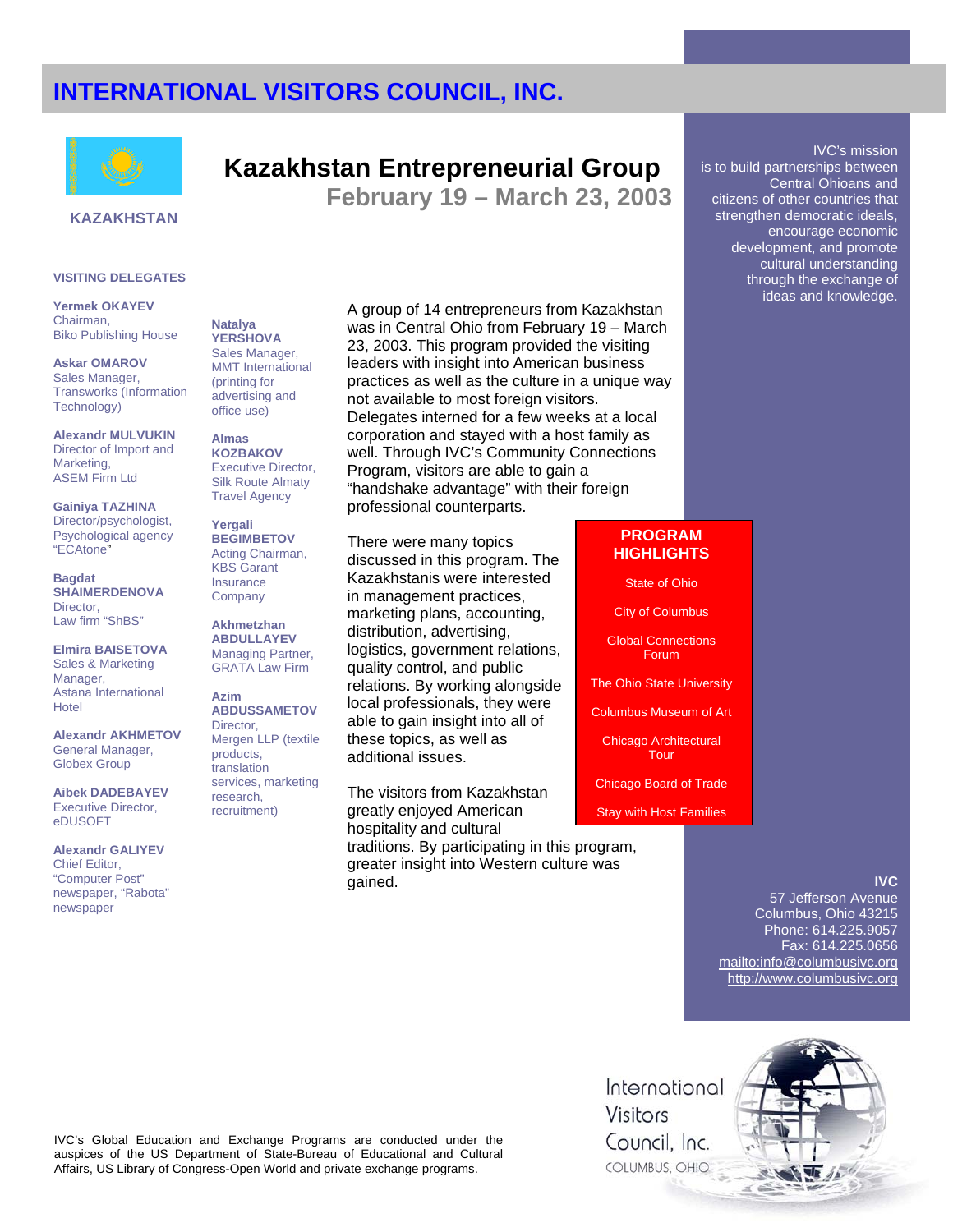

## **Kazakhstan Entrepreneurial Group**

**February 19 – March 23, 2003** 

### **KAZAKHSTAN**

#### **VISITING DELEGATES**

**Yermek OKAYEV** Chairman, Biko Publishing House

**Askar OMAROV** Sales Manager, Transworks (Information Technology)

**Alexandr MULVUKIN**  Director of Import and Marketing, ASEM Firm Ltd

**Gainiya TAZHINA** Director/psychologist, Psychological agency "ECAtone"

**Bagdat SHAIMERDENOVA** Director, Law firm "ShBS"

**Elmira BAISETOVA** Sales & Marketing Manager, Astana International Hotel

**Alexandr AKHMETOV** General Manager, Globex Group

**Aibek DADEBAYEV** Executive Director, eDUSOFT

**Alexandr GALIYEV** Chief Editor, "Computer Post" newspaper, "Rabota" newspaper

**Natalya YERSHOVA** Sales Manager, MMT International (printing for advertising and office use)

**Almas KOZBAKOV** Executive Director, Silk Route Almaty Travel Agency

**Yergali BEGIMBETOV** Acting Chairman, KBS Garant Insurance **Company** 

**Akhmetzhan ABDULLAYEV** Managing Partner, GRATA Law Firm

**Azim ABDUSSAMETOV** Director, Mergen LLP (textile products, translation services, marketing research, recruitment)

A group of 14 entrepreneurs from Kazakhstan was in Central Ohio from February 19 – March 23, 2003. This program provided the visiting leaders with insight into American business practices as well as the culture in a unique way not available to most foreign visitors. Delegates interned for a few weeks at a local corporation and stayed with a host family as well. Through IVC's Community Connections Program, visitors are able to gain a "handshake advantage" with their foreign professional counterparts.

There were many topics discussed in this program. The Kazakhstanis were interested in management practices, marketing plans, accounting, distribution, advertising, logistics, government relations, quality control, and public relations. By working alongside local professionals, they were able to gain insight into all of these topics, as well as additional issues.

The visitors from Kazakhstan greatly enjoyed American hospitality and cultural

traditions. By participating in this program, greater insight into Western culture was gained.

#### is to build partnerships between Central Ohioans and citizens of other countries that strengthen democratic ideals, encourage economic development, and promote cultural understanding through the exchange of ideas and knowledge.

IVC's mission

### **PROGRAM HIGHLIGHTS**

State of Ohio

City of Columbus

Global Connections Forum

The Ohio State University

Columbus Museum of Art

Chicago Architectural Tour

Chicago Board of Trade

Stay with Host Families

### **IVC**

57 Jefferson Avenue Columbus, Ohio 43215 Phone: 614.225.9057 Fax: 614.225.0656 mailto:info@columbusivc.org http://www.columbusivc.org

IVC's Global Education and Exchange Programs are conducted under the auspices of the US Department of State-Bureau of Educational and Cultural Affairs, US Library of Congress-Open World and private exchange programs.

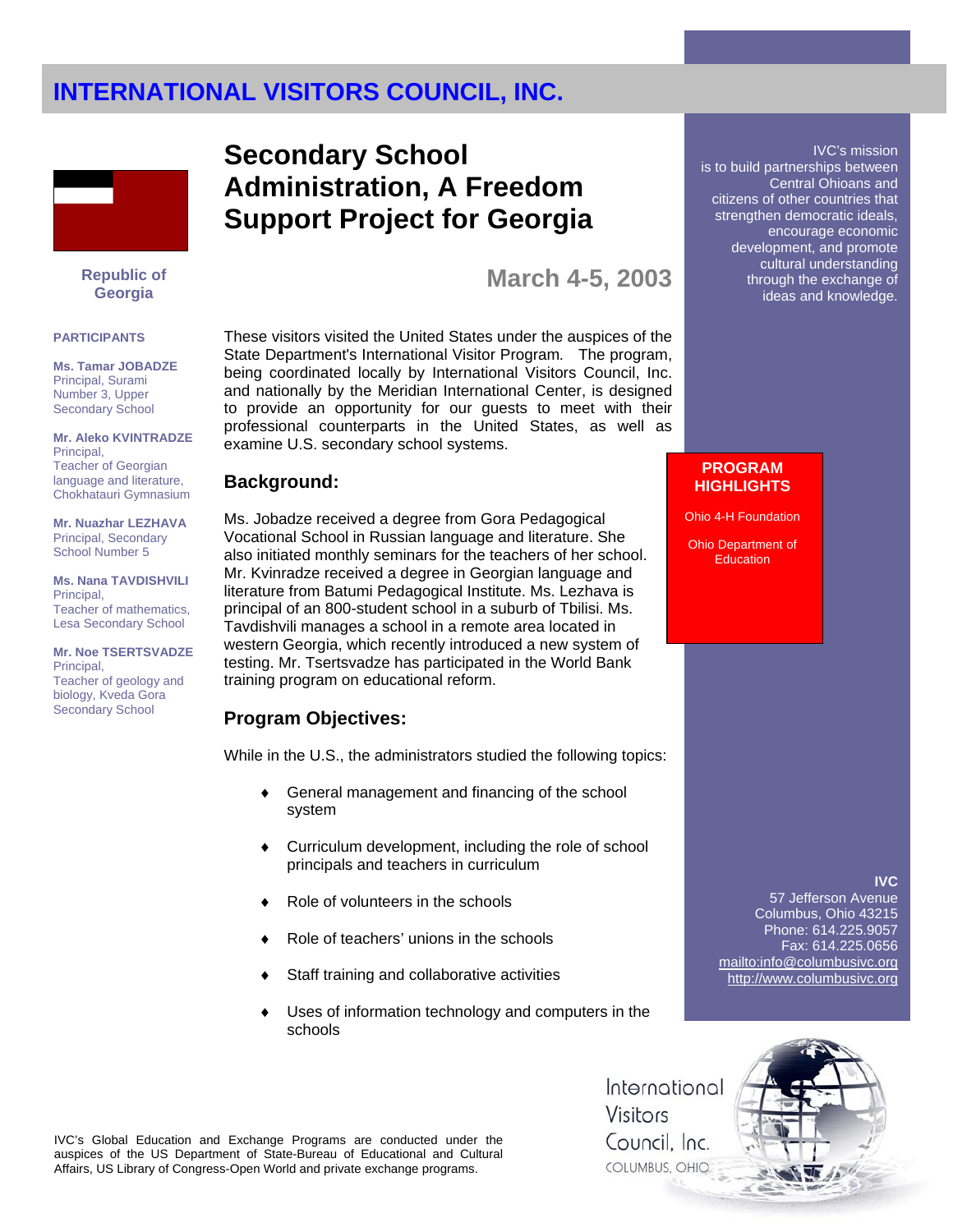

**Republic of Georgia** 

#### **PARTICIPANTS**

**Ms. Tamar JOBADZE** Principal, Surami Number 3, Upper Secondary School

**Mr. Aleko KVINTRADZE** Principal, Teacher of Georgian language and literature, Chokhatauri Gymnasium

**Mr. Nuazhar LEZHAVA** Principal, Secondary School Number 5

**Ms. Nana TAVDISHVILI**  Principal, Teacher of mathematics, Lesa Secondary School

**Mr. Noe TSERTSVADZE** Principal, Teacher of geology and biology, Kveda Gora Secondary School

## **Secondary School Administration, A Freedom Support Project for Georgia**

## **March 4-5, 2003**

These visitors visited the United States under the auspices of the State Department's International Visitor Program*.* The program, being coordinated locally by International Visitors Council, Inc. and nationally by the Meridian International Center, is designed to provide an opportunity for our guests to meet with their professional counterparts in the United States, as well as examine U.S. secondary school systems.

## **Background:**

Ms. Jobadze received a degree from Gora Pedagogical Vocational School in Russian language and literature. She also initiated monthly seminars for the teachers of her school. Mr. Kvinradze received a degree in Georgian language and literature from Batumi Pedagogical Institute. Ms. Lezhava is principal of an 800-student school in a suburb of Tbilisi. Ms. Tavdishvili manages a school in a remote area located in western Georgia, which recently introduced a new system of testing. Mr. Tsertsvadze has participated in the World Bank training program on educational reform.

## **Program Objectives:**

While in the U.S., the administrators studied the following topics:

- General management and financing of the school system
- Curriculum development, including the role of school principals and teachers in curriculum
- Role of volunteers in the schools
- Role of teachers' unions in the schools
- Staff training and collaborative activities
- Uses of information technology and computers in the schools

#### IVC's mission is to build partnerships between Central Ohioans and citizens of other countries that strengthen democratic ideals, encourage economic development, and promote cultural understanding through the exchange of ideas and knowledge.

### **PROGRAM HIGHLIGHTS**

Ohio 4-H Foundation

Ohio Department of **Education** 

### **IVC**

57 Jefferson Avenue Columbus, Ohio 43215 Phone: 614.225.9057 Fax: 614.225.0656 mailto:info@columbusivc.org http://www.columbusivc.org

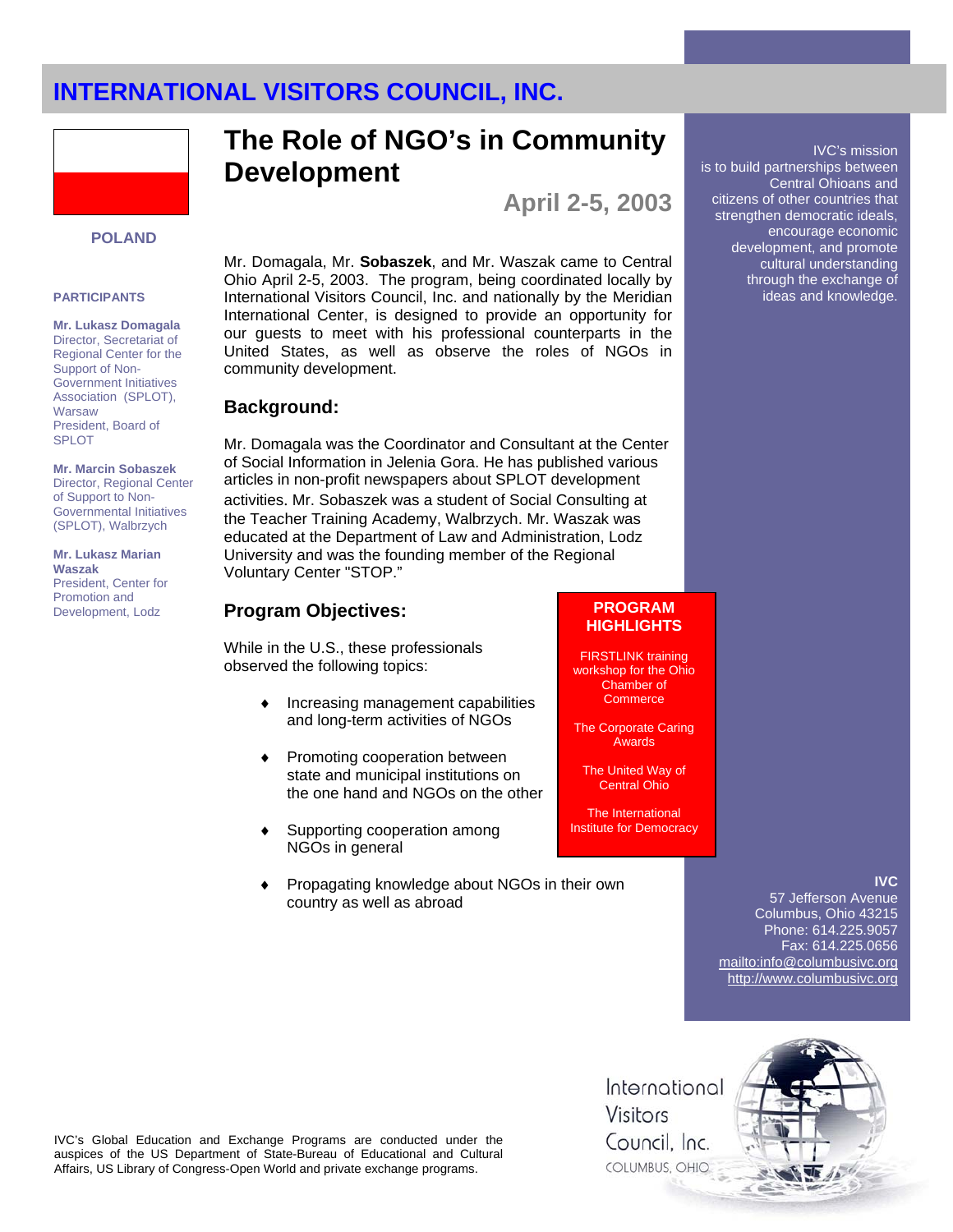

### **POLAND**

#### **PARTICIPANTS**

**Mr. Lukasz Domagala**  Director, Secretariat of Regional Center for the Support of Non-Government Initiatives Association (SPLOT), Warsaw President, Board of SPLOT

#### **Mr. Marcin Sobaszek**  Director, Regional Center of Support to Non-Governmental Initiatives (SPLOT), Walbrzych

**Mr. Lukasz Marian Waszak**  President, Center for Promotion and Development, Lodz

# **The Role of NGO's in Community Development**

**April 2-5, 2003** 

Mr. Domagala, Mr. **Sobaszek**, and Mr. Waszak came to Central Ohio April 2-5, 2003. The program, being coordinated locally by International Visitors Council, Inc. and nationally by the Meridian International Center, is designed to provide an opportunity for our guests to meet with his professional counterparts in the United States, as well as observe the roles of NGOs in community development.

### **Background:**

Mr. Domagala was the Coordinator and Consultant at the Center of Social Information in Jelenia Gora. He has published various articles in non-profit newspapers about SPLOT development activities. Mr. Sobaszek was a student of Social Consulting at the Teacher Training Academy, Walbrzych. Mr. Waszak was educated at the Department of Law and Administration, Lodz University and was the founding member of the Regional Voluntary Center "STOP."

## **Program Objectives:**

While in the U.S., these professionals observed the following topics:

- Increasing management capabilities and long-term activities of NGOs
- Promoting cooperation between state and municipal institutions on the one hand and NGOs on the other
- ♦ Supporting cooperation among NGOs in general
- Propagating knowledge about NGOs in their own country as well as abroad

## **PROGRAM HIGHLIGHTS**

FIRSTLINK training workshop for the Ohio Chamber of **Commerce** 

The Corporate Caring Awards

The United Way of Central Ohio

The International Institute for Democracy

### **IVC**

IVC's mission

Central Ohioans and

is to build partnerships between

citizens of other countries that strengthen democratic ideals, encourage economic development, and promote cultural understanding through the exchange of ideas and knowledge.

57 Jefferson Avenue Columbus, Ohio 43215 Phone: 614.225.9057 Fax: 614.225.0656 mailto:info@columbusivc.org http://www.columbusivc.org



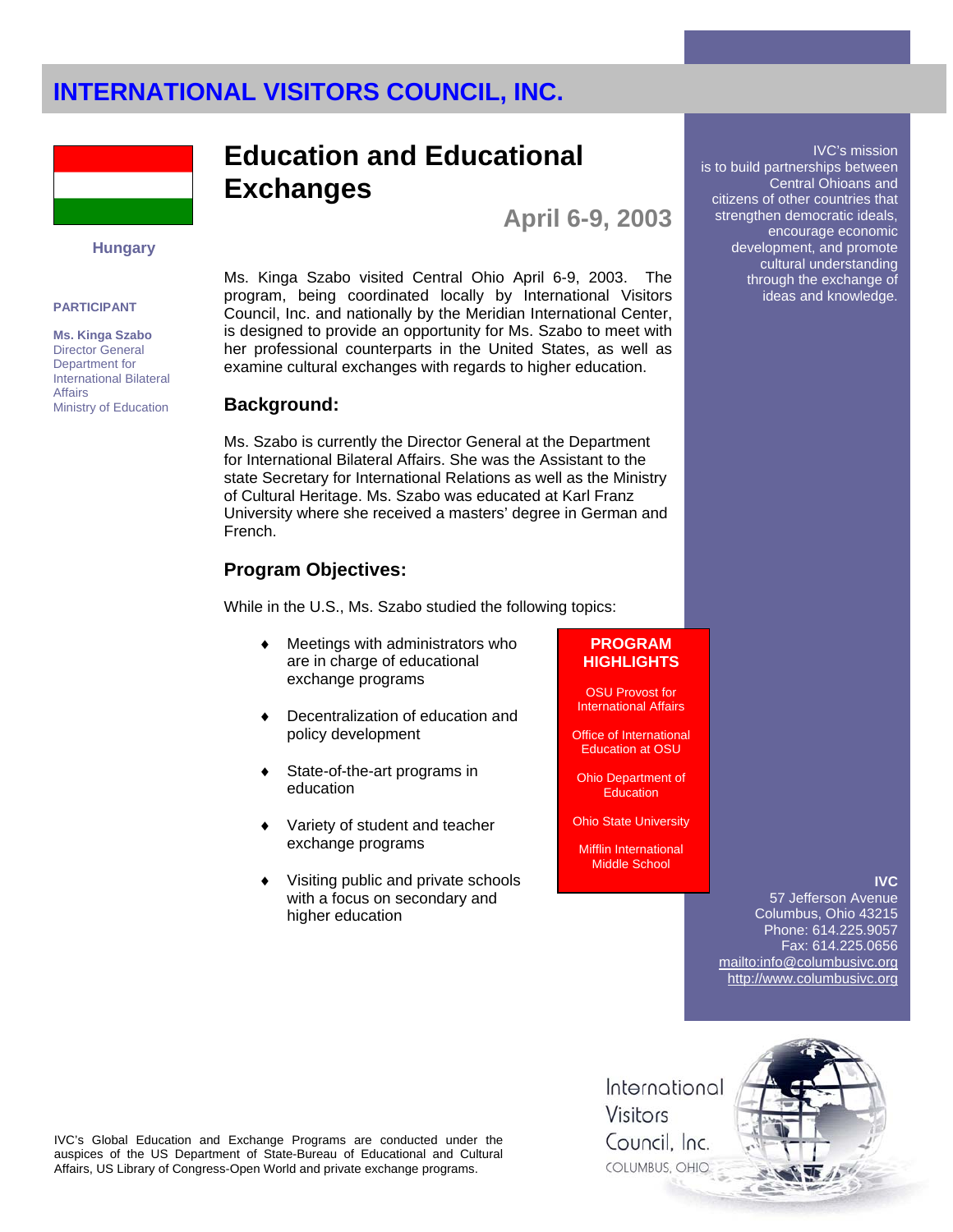

### **Hungary**

#### **PARTICIPANT**

**Ms. Kinga Szabo**  Director General Department for International Bilateral **Affairs** Ministry of Education

## **Education and Educational Exchanges**

**April 6-9, 2003** 

Ms. Kinga Szabo visited Central Ohio April 6-9, 2003. The program, being coordinated locally by International Visitors Council, Inc. and nationally by the Meridian International Center, is designed to provide an opportunity for Ms. Szabo to meet with her professional counterparts in the United States, as well as examine cultural exchanges with regards to higher education.

### **Background:**

Ms. Szabo is currently the Director General at the Department for International Bilateral Affairs. She was the Assistant to the state Secretary for International Relations as well as the Ministry of Cultural Heritage. Ms. Szabo was educated at Karl Franz University where she received a masters' degree in German and French.

## **Program Objectives:**

While in the U.S., Ms. Szabo studied the following topics:

- Meetings with administrators who are in charge of educational exchange programs
- Decentralization of education and policy development
- State-of-the-art programs in education
- Variety of student and teacher exchange programs
- Visiting public and private schools with a focus on secondary and higher education

#### **PROGRAM HIGHLIGHTS**

OSU Provost for International Affairs

Office of International Education at OSU

Ohio Department of **Education** 

Ohio State University

Mifflin International Middle School

### **IVC**

IVC's mission

Central Ohioans and

encourage economic development, and promote cultural understanding through the exchange of ideas and knowledge.

is to build partnerships between

citizens of other countries that strengthen democratic ideals,

57 Jefferson Avenue Columbus, Ohio 43215 Phone: 614.225.9057 Fax: 614.225.0656 mailto:info@columbusivc.org http://www.columbusivc.org

IVC's Global Education and Exchange Programs are conducted under the auspices of the US Department of State-Bureau of Educational and Cultural Affairs, US Library of Congress-Open World and private exchange programs.

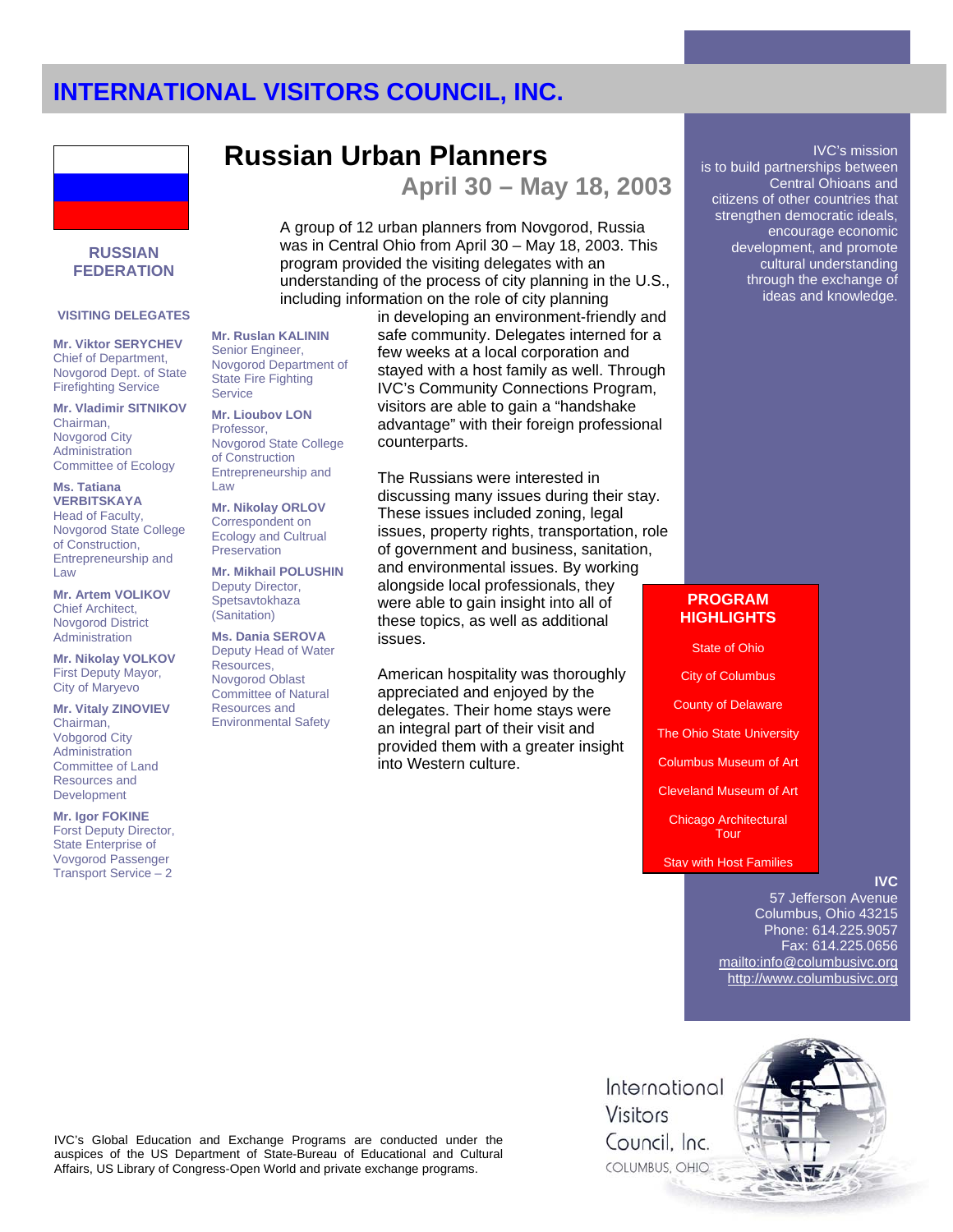**Russian Urban Planners** 



### **RUSSIAN FEDERATION**

#### **VISITING DELEGATES**

**Mr. Viktor SERYCHEV** Chief of Department, Novgorod Dept. of State Firefighting Service

**Mr. Vladimir SITNIKOV**  Chairman, Novgorod City Administration Committee of Ecology

**Ms. Tatiana VERBITSKAYA** Head of Faculty, Novgorod State College of Construction, Entrepreneurship and Law

**Mr. Artem VOLIKOV**  Chief Architect, Novgorod District Administration

**Mr. Nikolay VOLKOV**  First Deputy Mayor, City of Maryevo

**Mr. Vitaly ZINOVIEV**  Chairman, Vobgorod City **Administration** Committee of Land Resources and Development

**Mr. Igor FOKINE** Forst Deputy Director, State Enterprise of Vovgorod Passenger Transport Service – 2

#### **Mr. Ruslan KALININ**  Senior Engineer, Novgorod Department of State Fire Fighting **Service**

**Mr. Lioubov LON**  Professor, Novgorod State College of Construction Entrepreneurship and Law

**Mr. Nikolay ORLOV**  Correspondent on Ecology and Cultrual **Preservation** 

**Mr. Mikhail POLUSHIN**  Deputy Director, **Spetsavtokhaza** (Sanitation)

**Ms. Dania SEROVA** Deputy Head of Water Resources, Novgorod Oblast Committee of Natural Resources and Environmental Safety

including information on the role of city planning in developing an environment-friendly and safe community. Delegates interned for a few weeks at a local corporation and stayed with a host family as well. Through IVC's Community Connections Program, visitors are able to gain a "handshake advantage" with their foreign professional counterparts.

A group of 12 urban planners from Novgorod, Russia was in Central Ohio from April 30 – May 18, 2003. This

understanding of the process of city planning in the U.S.,

program provided the visiting delegates with an

**April 30 – May 18, 2003** 

The Russians were interested in discussing many issues during their stay. These issues included zoning, legal issues, property rights, transportation, role of government and business, sanitation, and environmental issues. By working alongside local professionals, they were able to gain insight into all of these topics, as well as additional issues.

American hospitality was thoroughly appreciated and enjoyed by the delegates. Their home stays were an integral part of their visit and provided them with a greater insight into Western culture.

#### IVC's mission is to build partnerships between Central Ohioans and citizens of other countries that strengthen democratic ideals, encourage economic development, and promote cultural understanding through the exchange of ideas and knowledge.

## **PROGRAM HIGHLIGHTS**

State of Ohio City of Columbus County of Delaware The Ohio State University Columbus Museum of Art Cleveland Museum of Art Chicago Architectural **Tour** Stay with Host Families

### **IVC**

57 Jefferson Avenue Columbus, Ohio 43215 Phone: 614.225.9057 Fax: 614.225.0656 mailto:info@columbusivc.org http://www.columbusivc.org



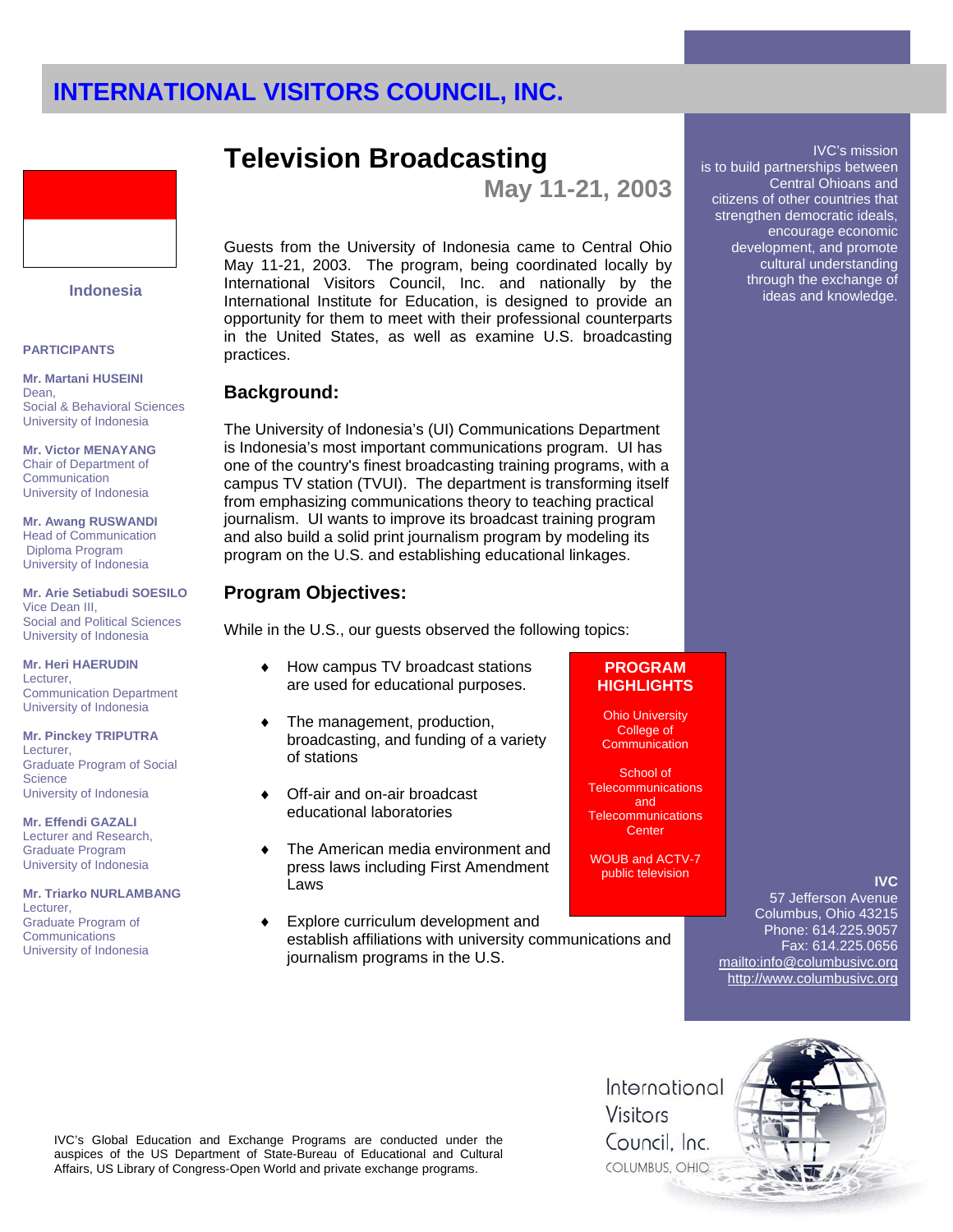

### **Indonesia**

### **PARTICIPANTS**

**Mr. Martani HUSEINI**  Dean, Social & Behavioral Sciences University of Indonesia

**Mr. Victor MENAYANG** Chair of Department of **Communication** University of Indonesia

**Mr. Awang RUSWANDI**  Head of Communication Diploma Program University of Indonesia

**Mr. Arie Setiabudi SOESILO**  Vice Dean III, Social and Political Sciences University of Indonesia

**Mr. Heri HAERUDIN**  Lecturer, Communication Department University of Indonesia

#### **Mr. Pinckey TRIPUTRA**

Lecturer, Graduate Program of Social **Science** University of Indonesia

### **Mr. Effendi GAZALI**

Lecturer and Research, Graduate Program University of Indonesia

#### **Mr. Triarko NURLAMBANG** Lecturer,

Graduate Program of **Communications** University of Indonesia

## **Television Broadcasting**

**May 11-21, 2003** 

Guests from the University of Indonesia came to Central Ohio May 11-21, 2003. The program, being coordinated locally by International Visitors Council, Inc. and nationally by the International Institute for Education, is designed to provide an opportunity for them to meet with their professional counterparts in the United States, as well as examine U.S. broadcasting practices.

## **Background:**

The University of Indonesia's (UI) Communications Department is Indonesia's most important communications program. UI has one of the country's finest broadcasting training programs, with a campus TV station (TVUI). The department is transforming itself from emphasizing communications theory to teaching practical journalism. UI wants to improve its broadcast training program and also build a solid print journalism program by modeling its program on the U.S. and establishing educational linkages.

## **Program Objectives:**

While in the U.S., our guests observed the following topics:

- ♦ How campus TV broadcast stations are used for educational purposes.
- ♦ The management, production, broadcasting, and funding of a variety of stations
- Off-air and on-air broadcast educational laboratories
- ♦ The American media environment and press laws including First Amendment Laws
- Explore curriculum development and establish affiliations with university communications and journalism programs in the U.S.

### **PROGRAM HIGHLIGHTS**

Ohio University College of **Communication** 

School of **Telecommunications** and **Telecommunications Center** 

WOUB and ACTV-7 public television

## **IVC**

57 Jefferson Avenue Columbus, Ohio 43215 Phone: 614.225.9057 Fax: 614.225.0656 mailto:info@columbusivc.org http://www.columbusivc.org

International Visitors Council. Inc. COLUMBUS, OHIO



IVC's Global Education and Exchange Programs are conducted under the auspices of the US Department of State-Bureau of Educational and Cultural Affairs, US Library of Congress-Open World and private exchange programs.

IVC's mission is to build partnerships between

Central Ohioans and citizens of other countries that strengthen democratic ideals, encourage economic development, and promote cultural understanding through the exchange of ideas and knowledge.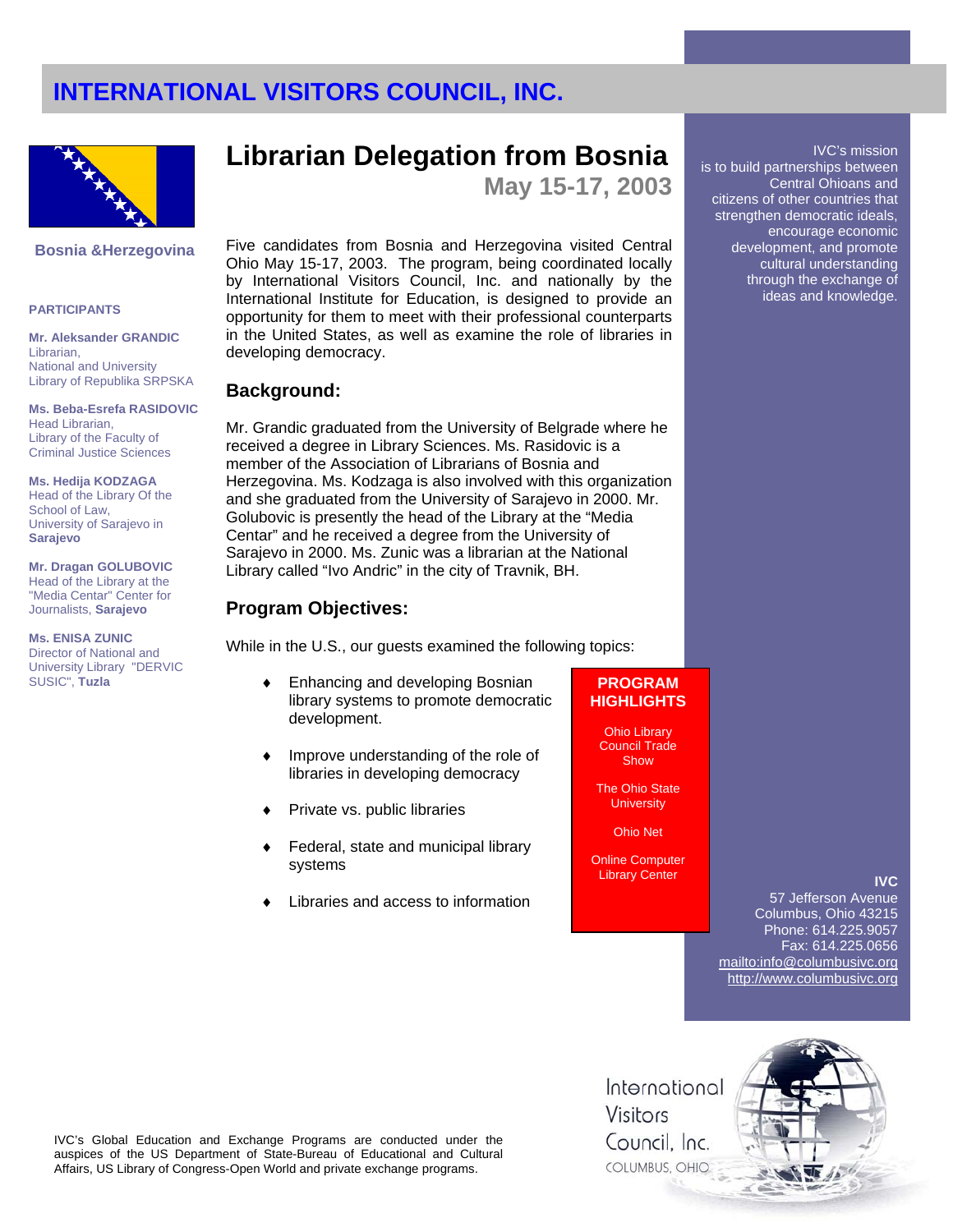

#### **Bosnia &Herzegovina**

#### **PARTICIPANTS**

**Mr. Aleksander GRANDIC**  Librarian, National and University Library of Republika SRPSKA

**Ms. Beba-Esrefa RASIDOVIC**  Head Librarian, Library of the Faculty of Criminal Justice Sciences

**Ms. Hedija KODZAGA** Head of the Library Of the School of Law, University of Sarajevo in **Sarajevo**

**Mr. Dragan GOLUBOVIC**  Head of the Library at the "Media Centar" Center for Journalists, **Sarajevo**

**Ms. ENISA ZUNIC**  Director of National and University Library "DERVIC SUSIC", **Tuzla**

## **Librarian Delegation from Bosnia**

**May 15-17, 2003** 

Five candidates from Bosnia and Herzegovina visited Central Ohio May 15-17, 2003. The program, being coordinated locally by International Visitors Council, Inc. and nationally by the International Institute for Education, is designed to provide an opportunity for them to meet with their professional counterparts in the United States, as well as examine the role of libraries in developing democracy.

#### **Background:**

Mr. Grandic graduated from the University of Belgrade where he received a degree in Library Sciences. Ms. Rasidovic is a member of the Association of Librarians of Bosnia and Herzegovina. Ms. Kodzaga is also involved with this organization and she graduated from the University of Sarajevo in 2000. Mr. Golubovic is presently the head of the Library at the "Media Centar" and he received a degree from the University of Sarajevo in 2000. Ms. Zunic was a librarian at the National Library called "Ivo Andric" in the city of Travnik, BH.

### **Program Objectives:**

While in the U.S., our guests examined the following topics:

- ♦ Enhancing and developing Bosnian library systems to promote democratic development.
- ♦ Improve understanding of the role of libraries in developing democracy
- Private vs. public libraries
- Federal, state and municipal library systems
- Libraries and access to information

## **PROGRAM HIGHLIGHTS**

Ohio Library Council Trade Show

The Ohio State **University** 

Ohio Net

Online Computer Library Center

### **IVC**

IVC's mission

Central Ohioans and

encourage economic development, and promote cultural understanding through the exchange of ideas and knowledge.

is to build partnerships between

citizens of other countries that strengthen democratic ideals,

57 Jefferson Avenue Columbus, Ohio 43215 Phone: 614.225.9057 Fax: 614.225.0656 mailto:info@columbusivc.org http://www.columbusivc.org

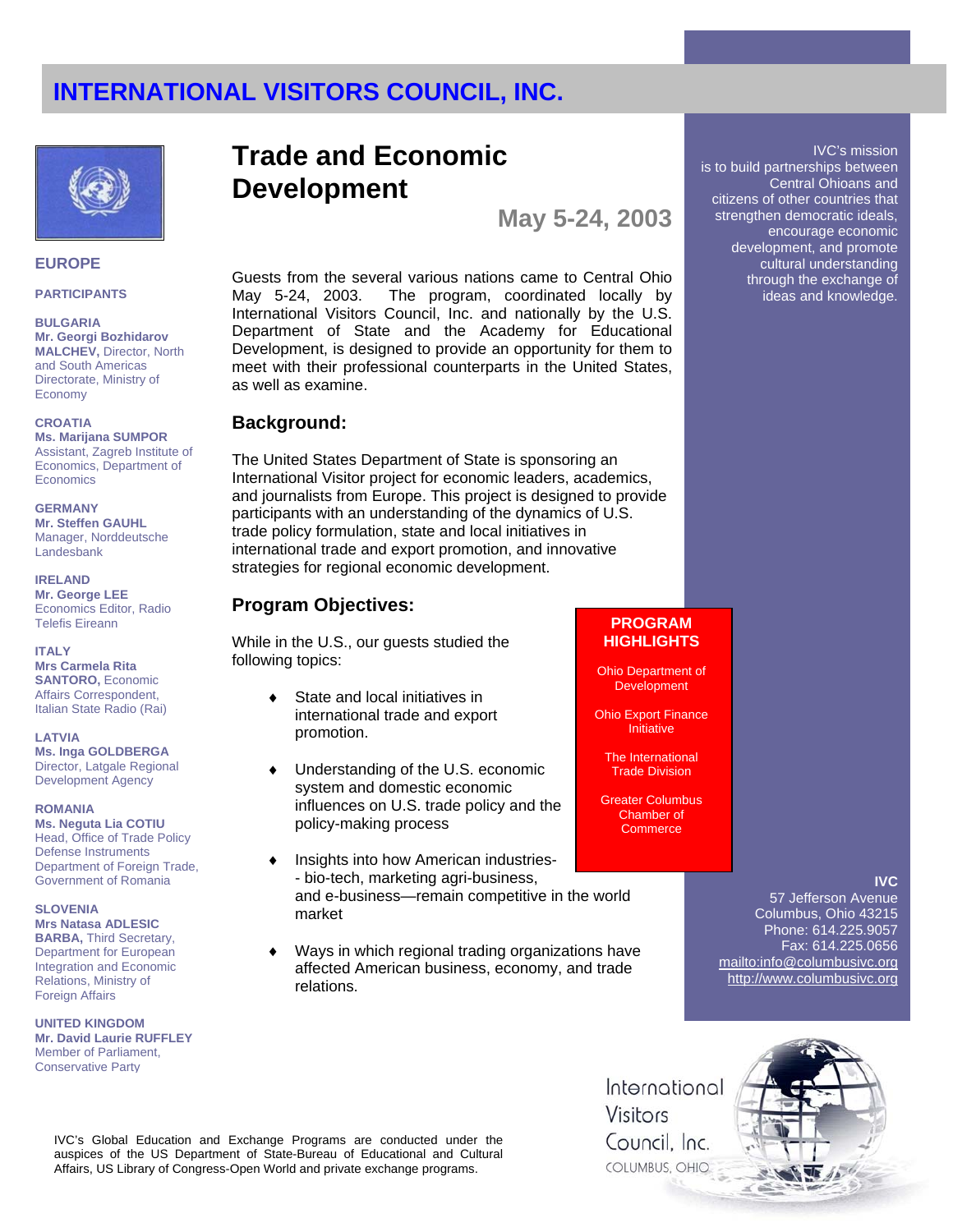

#### **EUROPE**

#### **PARTICIPANTS**

**BULGARIA Mr. Georgi Bozhidarov MALCHEV,** Director, North and South Americas Directorate, Ministry of Economy

#### **CROATIA**

**Ms. Marijana SUMPOR**  Assistant, Zagreb Institute of Economics, Department of **Economics** 

**GERMANY** 

**Mr. Steffen GAUHL**  Manager, Norddeutsche Landesbank

**IRELAND Mr. George LEE** Economics Editor, Radio Telefis Eireann

#### **ITALY**

**Mrs Carmela Rita SANTORO,** Economic Affairs Correspondent, Italian State Radio (Rai)

#### **LATVIA**

**Ms. Inga GOLDBERGA** Director, Latgale Regional Development Agency

#### **ROMANIA**

**Ms. Neguta Lia COTIU**  Head, Office of Trade Policy Defense Instruments Department of Foreign Trade, Government of Romania

#### **SLOVENIA**

**Mrs Natasa ADLESIC BARBA,** Third Secretary, Department for European Integration and Economic Relations, Ministry of Foreign Affairs

**UNITED KINGDOM Mr. David Laurie RUFFLEY**  Member of Parliament, Conservative Party

## **Trade and Economic Development**

**May 5-24, 2003** 

Guests from the several various nations came to Central Ohio May 5-24, 2003. The program, coordinated locally by International Visitors Council, Inc. and nationally by the U.S. Department of State and the Academy for Educational Development, is designed to provide an opportunity for them to meet with their professional counterparts in the United States, as well as examine.

## **Background:**

The United States Department of State is sponsoring an International Visitor project for economic leaders, academics, and journalists from Europe. This project is designed to provide participants with an understanding of the dynamics of U.S. trade policy formulation, state and local initiatives in international trade and export promotion, and innovative strategies for regional economic development.

## **Program Objectives:**

While in the U.S., our guests studied the following topics:

- ◆ State and local initiatives in international trade and export promotion.
- Understanding of the U.S. economic system and domestic economic influences on U.S. trade policy and the policy-making process
- Insights into how American industries-- bio-tech, marketing agri-business, and e-business—remain competitive in the world market
- ♦ Ways in which regional trading organizations have affected American business, economy, and trade relations.

### **PROGRAM HIGHLIGHTS**

Ohio Department of **Development** 

Ohio Export Finance Initiative

The International Trade Division

Greater Columbus Chamber of **Commerce** 

### **IVC**

57 Jefferson Avenue Columbus, Ohio 43215 Phone: 614.225.9057 Fax: 614.225.0656 mailto:info@columbusivc.org http://www.columbusivc.org

International Visitors Council. Inc. COLUMBUS, OHIO



is to build partnerships between Central Ohioans and citizens of other countries that strengthen democratic ideals, encourage economic development, and promote cultural understanding

IVC's mission

through the exchange of ideas and knowledge.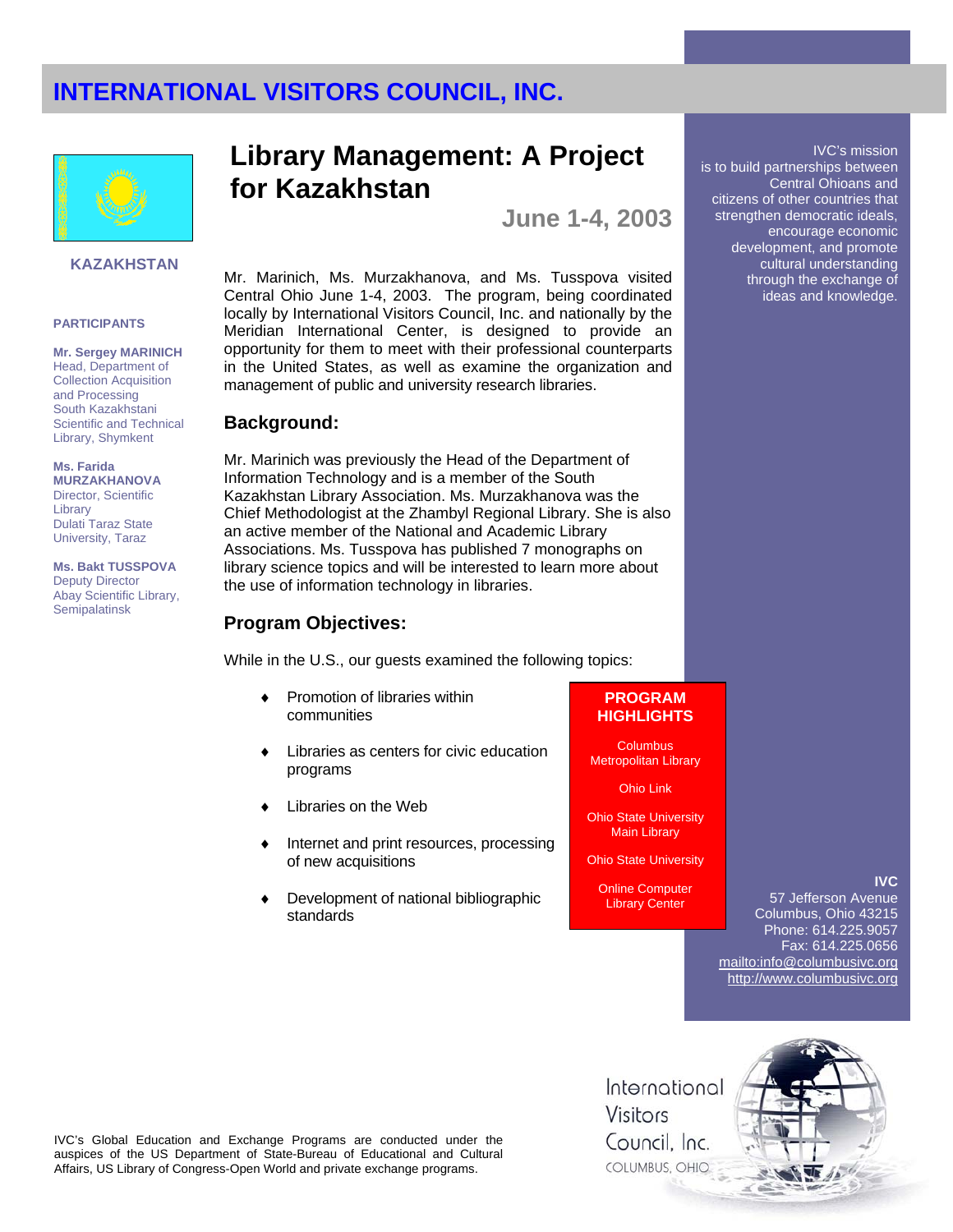

### **KAZAKHSTAN**

### **PARTICIPANTS**

**Mr. Sergey MARINICH**  Head, Department of Collection Acquisition and Processing South Kazakhstani Scientific and Technical Library, Shymkent

#### **Ms. Farida**

**MURZAKHANOVA** Director, Scientific Library Dulati Taraz State University, Taraz

**Ms. Bakt TUSSPOVA** Deputy Director Abay Scientific Library, **Semipalatinsk** 

## **Library Management: A Project for Kazakhstan**

**June 1-4, 2003** 

Mr. Marinich, Ms. Murzakhanova, and Ms. Tusspova visited Central Ohio June 1-4, 2003. The program, being coordinated locally by International Visitors Council, Inc. and nationally by the Meridian International Center, is designed to provide an opportunity for them to meet with their professional counterparts in the United States, as well as examine the organization and management of public and university research libraries.

## **Background:**

Mr. Marinich was previously the Head of the Department of Information Technology and is a member of the South Kazakhstan Library Association. Ms. Murzakhanova was the Chief Methodologist at the Zhambyl Regional Library. She is also an active member of the National and Academic Library Associations. Ms. Tusspova has published 7 monographs on library science topics and will be interested to learn more about the use of information technology in libraries.

## **Program Objectives:**

While in the U.S., our guests examined the following topics:

- ♦ Promotion of libraries within communities
- Libraries as centers for civic education programs
- Libraries on the Web
- Internet and print resources, processing of new acquisitions
- Development of national bibliographic standards

## **PROGRAM HIGHLIGHTS**

**Columbus** Metropolitan Library

Ohio Link

Ohio State University Main Library

Ohio State University

Online Computer Library Center

**IVC**

IVC's mission

Central Ohioans and

encourage economic development, and promote cultural understanding through the exchange of ideas and knowledge.

is to build partnerships between

citizens of other countries that strengthen democratic ideals,

57 Jefferson Avenue Columbus, Ohio 43215 Phone: 614.225.9057 Fax: 614.225.0656 mailto:info@columbusivc.org http://www.columbusivc.org

IVC's Global Education and Exchange Programs are conducted under the auspices of the US Department of State-Bureau of Educational and Cultural Affairs, US Library of Congress-Open World and private exchange programs.

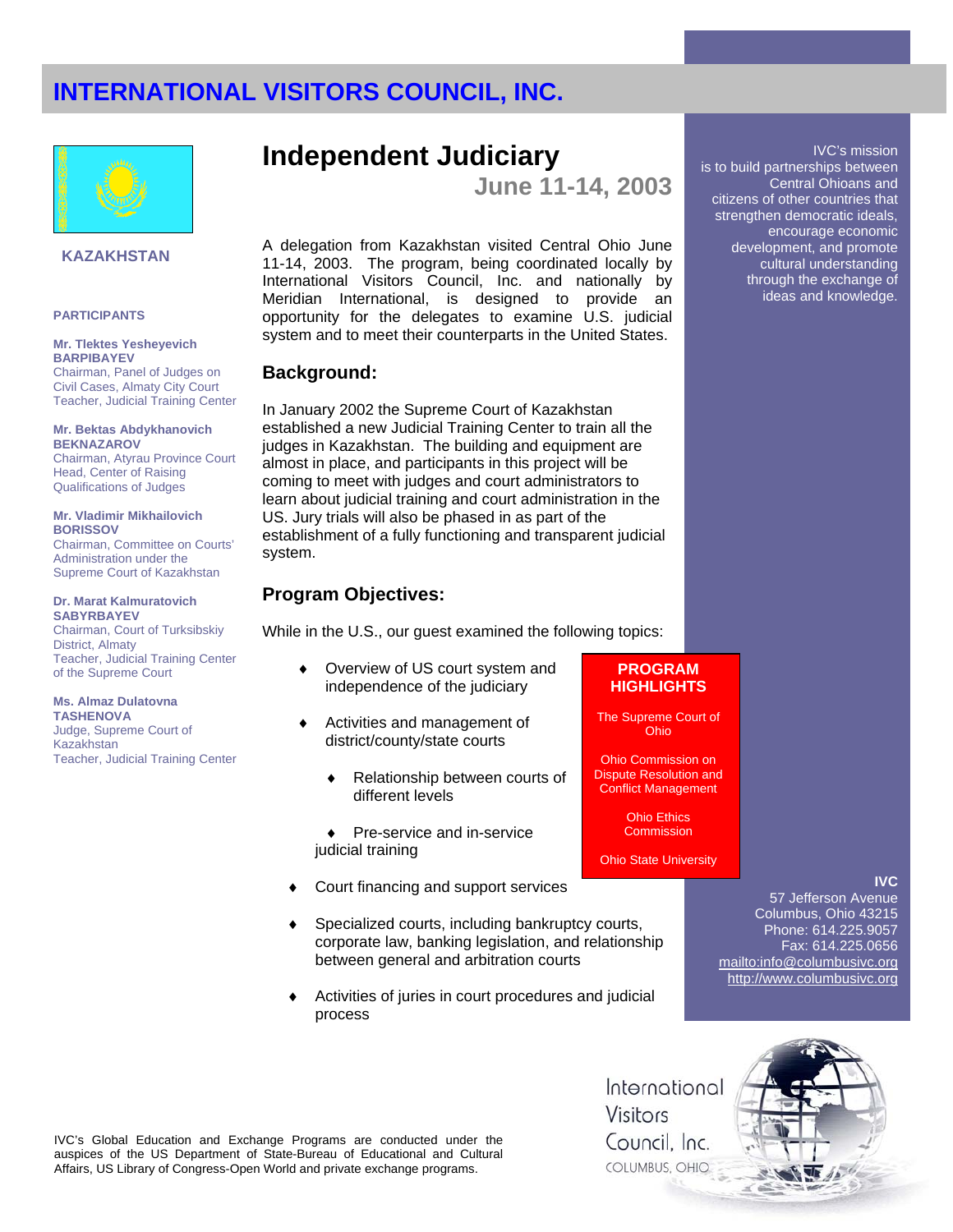

### **KAZAKHSTAN**

#### **PARTICIPANTS**

#### **Mr. Tlektes Yesheyevich BARPIBAYEV**

Chairman, Panel of Judges on Civil Cases, Almaty City Court Teacher, Judicial Training Center

#### **Mr. Bektas Abdykhanovich BEKNAZAROV**

Chairman, Atyrau Province Court Head, Center of Raising Qualifications of Judges

#### **Mr. Vladimir Mikhailovich BORISSOV**

Chairman, Committee on Courts' Administration under the Supreme Court of Kazakhstan

**Dr. Marat Kalmuratovich SABYRBAYEV**  Chairman, Court of Turksibskiy District, Almaty Teacher, Judicial Training Center of the Supreme Court

**Ms. Almaz Dulatovna TASHENOVA** Judge, Supreme Court of Kazakhstan Teacher, Judicial Training Center

## **Independent Judiciary**

**June 11-14, 2003** 

A delegation from Kazakhstan visited Central Ohio June 11-14, 2003. The program, being coordinated locally by International Visitors Council, Inc. and nationally by Meridian International, is designed to provide an opportunity for the delegates to examine U.S. judicial system and to meet their counterparts in the United States.

## **Background:**

In January 2002 the Supreme Court of Kazakhstan established a new Judicial Training Center to train all the judges in Kazakhstan. The building and equipment are almost in place, and participants in this project will be coming to meet with judges and court administrators to learn about judicial training and court administration in the US. Jury trials will also be phased in as part of the establishment of a fully functioning and transparent judicial system.

## **Program Objectives:**

While in the U.S., our guest examined the following topics:

- Overview of US court system and independence of the judiciary
- Activities and management of district/county/state courts
	- ♦ Relationship between courts of different levels
- ♦ Pre-service and in-service judicial training
- Court financing and support services
- Specialized courts, including bankruptcy courts, corporate law, banking legislation, and relationship between general and arbitration courts
- Activities of juries in court procedures and judicial process

## **PROGRAM HIGHLIGHTS**

The Supreme Court of Ohio

Ohio Commission on Dispute Resolution and Conflict Management

> Ohio Ethics **Commission**

Ohio State University

## **IVC**

IVC's mission

Central Ohioans and

is to build partnerships between

citizens of other countries that strengthen democratic ideals, encourage economic development, and promote cultural understanding through the exchange of ideas and knowledge.

57 Jefferson Avenue Columbus, Ohio 43215 Phone: 614.225.9057 Fax: 614.225.0656 mailto:info@columbusivc.org http://www.columbusivc.org

International Visitors Council, Inc. COLUMBUS, OHIO

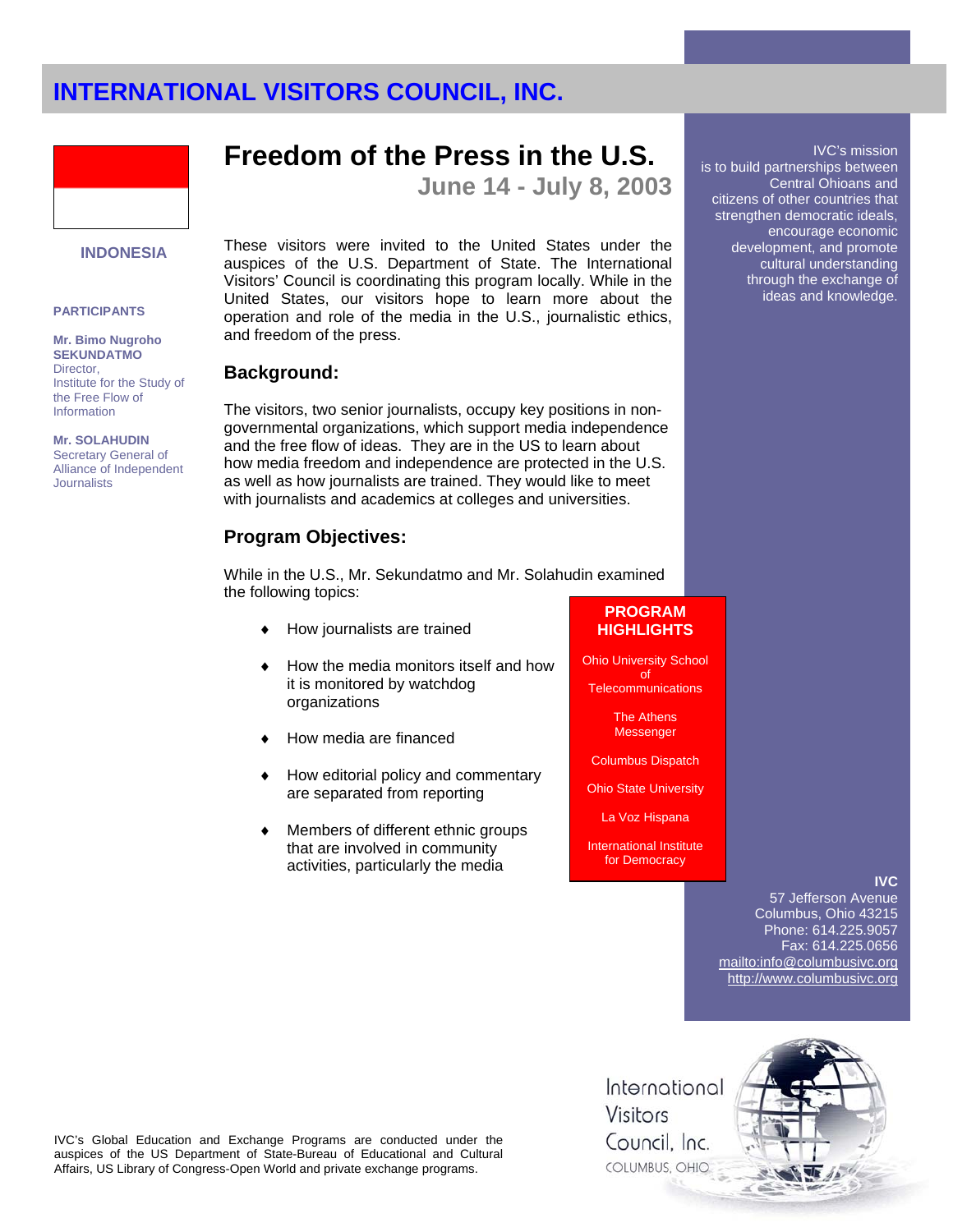

# **INDONESIA**

#### **PARTICIPANTS**

**Mr. Bimo Nugroho SEKUNDATMO**  Director, Institute for the Study of the Free Flow of Information

**Mr. SOLAHUDIN**  Secretary General of

Alliance of Independent **Journalists** 

## **Freedom of the Press in the U.S.**

**June 14 - July 8, 2003** 

These visitors were invited to the United States under the auspices of the U.S. Department of State. The International Visitors' Council is coordinating this program locally. While in the United States, our visitors hope to learn more about the operation and role of the media in the U.S., journalistic ethics, and freedom of the press.

### **Background:**

The visitors, two senior journalists, occupy key positions in nongovernmental organizations, which support media independence and the free flow of ideas. They are in the US to learn about how media freedom and independence are protected in the U.S. as well as how journalists are trained. They would like to meet with journalists and academics at colleges and universities.

## **Program Objectives:**

While in the U.S., Mr. Sekundatmo and Mr. Solahudin examined the following topics:

- How journalists are trained
- How the media monitors itself and how it is monitored by watchdog organizations
- How media are financed
- How editorial policy and commentary are separated from reporting
- Members of different ethnic groups that are involved in community activities, particularly the media

## **PROGRAM HIGHLIGHTS**

Ohio University School of **Telecommunications** 

> The Athens Messenger

Columbus Dispatch

Ohio State University

La Voz Hispana

International Institute for Democracy

### **IVC**

IVC's mission

Central Ohioans and

encourage economic development, and promote cultural understanding through the exchange of ideas and knowledge.

is to build partnerships between

citizens of other countries that strengthen democratic ideals,

57 Jefferson Avenue Columbus, Ohio 43215 Phone: 614.225.9057 Fax: 614.225.0656 mailto:info@columbusivc.org http://www.columbusivc.org

IVC's Global Education and Exchange Programs are conducted under the auspices of the US Department of State-Bureau of Educational and Cultural Affairs, US Library of Congress-Open World and private exchange programs.

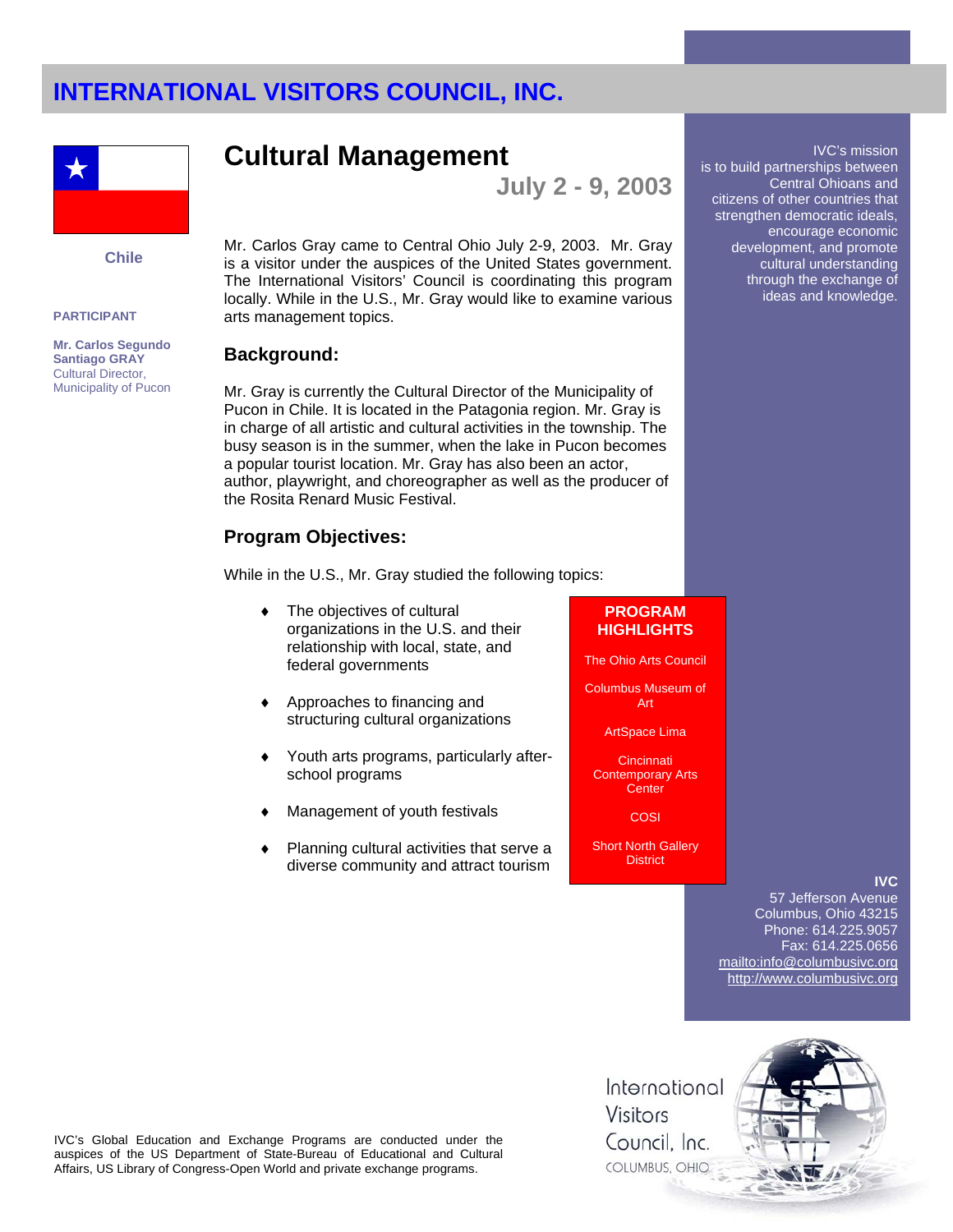

**Chile** 

#### **PARTICIPANT**

**Mr. Carlos Segundo Santiago GRAY** Cultural Director, Municipality of Pucon

## **Cultural Management**

**July 2 - 9, 2003** 

Mr. Carlos Gray came to Central Ohio July 2-9, 2003. Mr. Gray is a visitor under the auspices of the United States government. The International Visitors' Council is coordinating this program locally. While in the U.S., Mr. Gray would like to examine various arts management topics.

### **Background:**

Mr. Gray is currently the Cultural Director of the Municipality of Pucon in Chile. It is located in the Patagonia region. Mr. Gray is in charge of all artistic and cultural activities in the township. The busy season is in the summer, when the lake in Pucon becomes a popular tourist location. Mr. Gray has also been an actor, author, playwright, and choreographer as well as the producer of the Rosita Renard Music Festival.

## **Program Objectives:**

While in the U.S., Mr. Gray studied the following topics:

- The objectives of cultural organizations in the U.S. and their relationship with local, state, and federal governments
- Approaches to financing and structuring cultural organizations
- Youth arts programs, particularly afterschool programs
- Management of youth festivals
- Planning cultural activities that serve a diverse community and attract tourism

## **PROGRAM HIGHLIGHTS**

The Ohio Arts Council

Columbus Museum of Art

ArtSpace Lima

**Cincinnati** Contemporary Arts **Center** 

**COSI** 

Short North Gallery **District** 

### **IVC**

57 Jefferson Avenue Columbus, Ohio 43215 Phone: 614.225.9057 Fax: 614.225.0656 mailto:info@columbusivc.org http://www.columbusivc.org

IVC's Global Education and Exchange Programs are conducted under the auspices of the US Department of State-Bureau of Educational and Cultural Affairs, US Library of Congress-Open World and private exchange programs.

International Visitors Council, Inc. COLUMBUS, OHIO



is to build partnerships between

citizens of other countries that strengthen democratic ideals,

IVC's mission

Central Ohioans and

encourage economic development, and promote cultural understanding through the exchange of ideas and knowledge.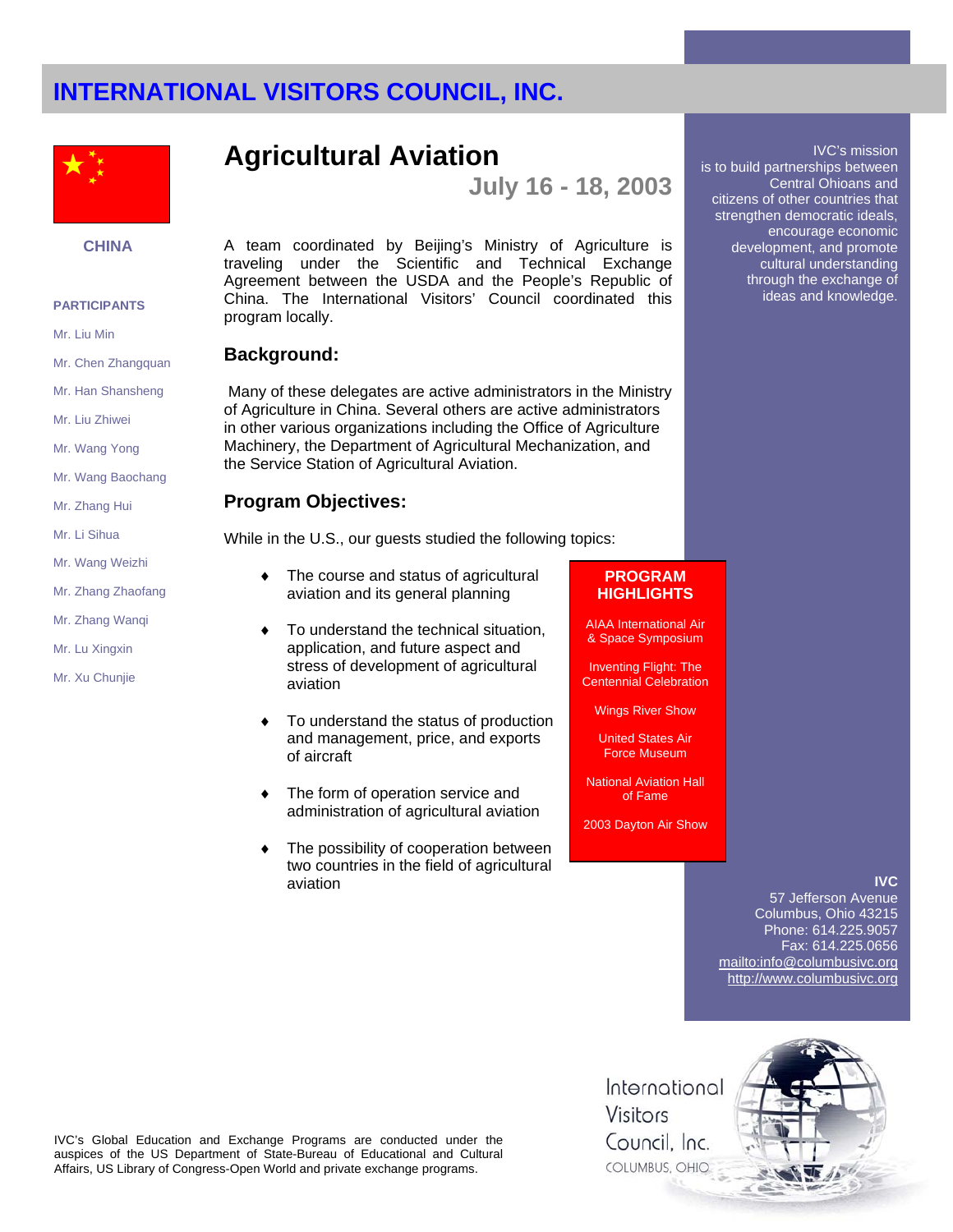

### **CHINA**

#### **PARTICIPANTS**

Mr. Liu Min

- Mr. Chen Zhangquan
- Mr. Han Shansheng
- Mr. Liu Zhiwei
- Mr. Wang Yong
- Mr. Wang Baochang
- Mr. Zhang Hui
- Mr. Li Sihua
- Mr. Wang Weizhi
- Mr. Zhang Zhaofang
- Mr. Zhang Wanqi
- Mr. Lu Xingxin
- Mr. Xu Chunjie

## **Agricultural Aviation**

**July 16 - 18, 2003** 

A team coordinated by Beijing's Ministry of Agriculture is traveling under the Scientific and Technical Exchange Agreement between the USDA and the People's Republic of China. The International Visitors' Council coordinated this program locally.

## **Background:**

Many of these delegates are active administrators in the Ministry of Agriculture in China. Several others are active administrators in other various organizations including the Office of Agriculture Machinery, the Department of Agricultural Mechanization, and the Service Station of Agricultural Aviation.

## **Program Objectives:**

While in the U.S., our guests studied the following topics:

- ♦ The course and status of agricultural aviation and its general planning
- To understand the technical situation, application, and future aspect and stress of development of agricultural aviation
- To understand the status of production and management, price, and exports of aircraft
- ♦ The form of operation service and administration of agricultural aviation
- The possibility of cooperation between two countries in the field of agricultural aviation

## **PROGRAM HIGHLIGHTS**

AIAA International Air & Space Symposium

Inventing Flight: The Centennial Celebration

Wings River Show

United States Air Force Museum

National Aviation Hall of Fame

2003 Dayton Air Show

### **IVC**

IVC's mission

Central Ohioans and

encourage economic development, and promote cultural understanding through the exchange of ideas and knowledge.

is to build partnerships between

citizens of other countries that strengthen democratic ideals,

57 Jefferson Avenue Columbus, Ohio 43215 Phone: 614.225.9057 Fax: 614.225.0656 mailto:info@columbusivc.org http://www.columbusivc.org



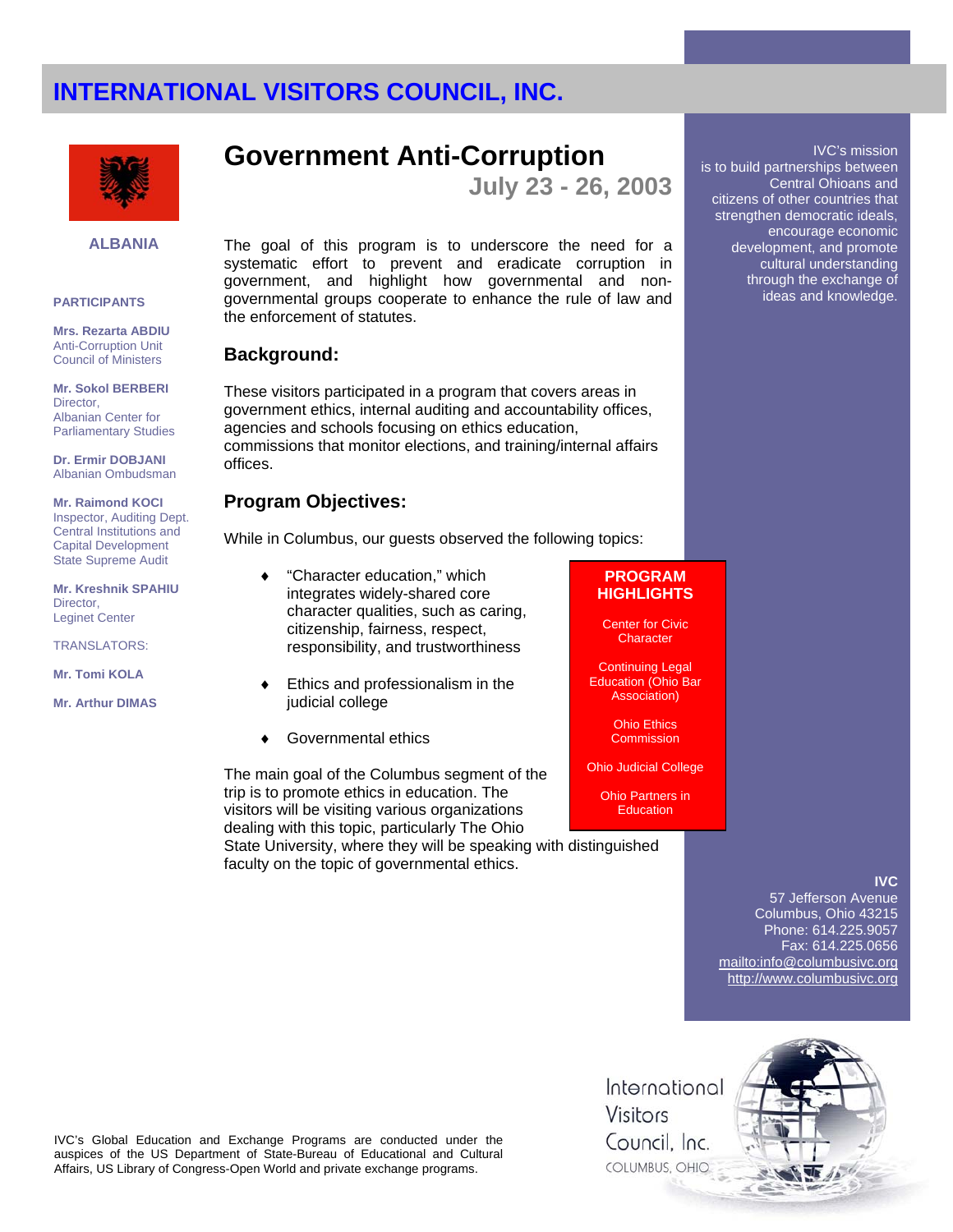

#### **ALBANIA**

#### **PARTICIPANTS**

**Mrs. Rezarta ABDIU**  Anti-Corruption Unit Council of Ministers

**Mr. Sokol BERBERI**  Director, Albanian Center for Parliamentary Studies

**Dr. Ermir DOBJANI** Albanian Ombudsman

#### **Mr. Raimond KOCI** Inspector, Auditing Dept. Central Institutions and Capital Development State Supreme Audit

**Mr. Kreshnik SPAHIU** Director, Leginet Center

TRANSLATORS:

**Mr. Tomi KOLA**

**Mr. Arthur DIMAS** 

## **Government Anti-Corruption**

**July 23 - 26, 2003** 

The goal of this program is to underscore the need for a systematic effort to prevent and eradicate corruption in government, and highlight how governmental and nongovernmental groups cooperate to enhance the rule of law and the enforcement of statutes.

## **Background:**

These visitors participated in a program that covers areas in government ethics, internal auditing and accountability offices, agencies and schools focusing on ethics education, commissions that monitor elections, and training/internal affairs offices.

## **Program Objectives:**

While in Columbus, our guests observed the following topics:

- "Character education," which integrates widely-shared core character qualities, such as caring, citizenship, fairness, respect, responsibility, and trustworthiness
- Ethics and professionalism in the judicial college
- Governmental ethics

The main goal of the Columbus segment of the trip is to promote ethics in education. The visitors will be visiting various organizations dealing with this topic, particularly The Ohio

State University, where they will be speaking with distinguished faculty on the topic of governmental ethics.

## **PROGRAM HIGHLIGHTS**

Center for Civic **Character** 

Continuing Legal Education (Ohio Bar Association)

> Ohio Ethics **Commission**

Ohio Judicial College

Ohio Partners in **Education** 

### **IVC**

IVC's mission

Central Ohioans and

is to build partnerships between

citizens of other countries that strengthen democratic ideals, encourage economic development, and promote cultural understanding through the exchange of ideas and knowledge.

57 Jefferson Avenue Columbus, Ohio 43215 Phone: 614.225.9057 Fax: 614.225.0656 mailto:info@columbusivc.org http://www.columbusivc.org



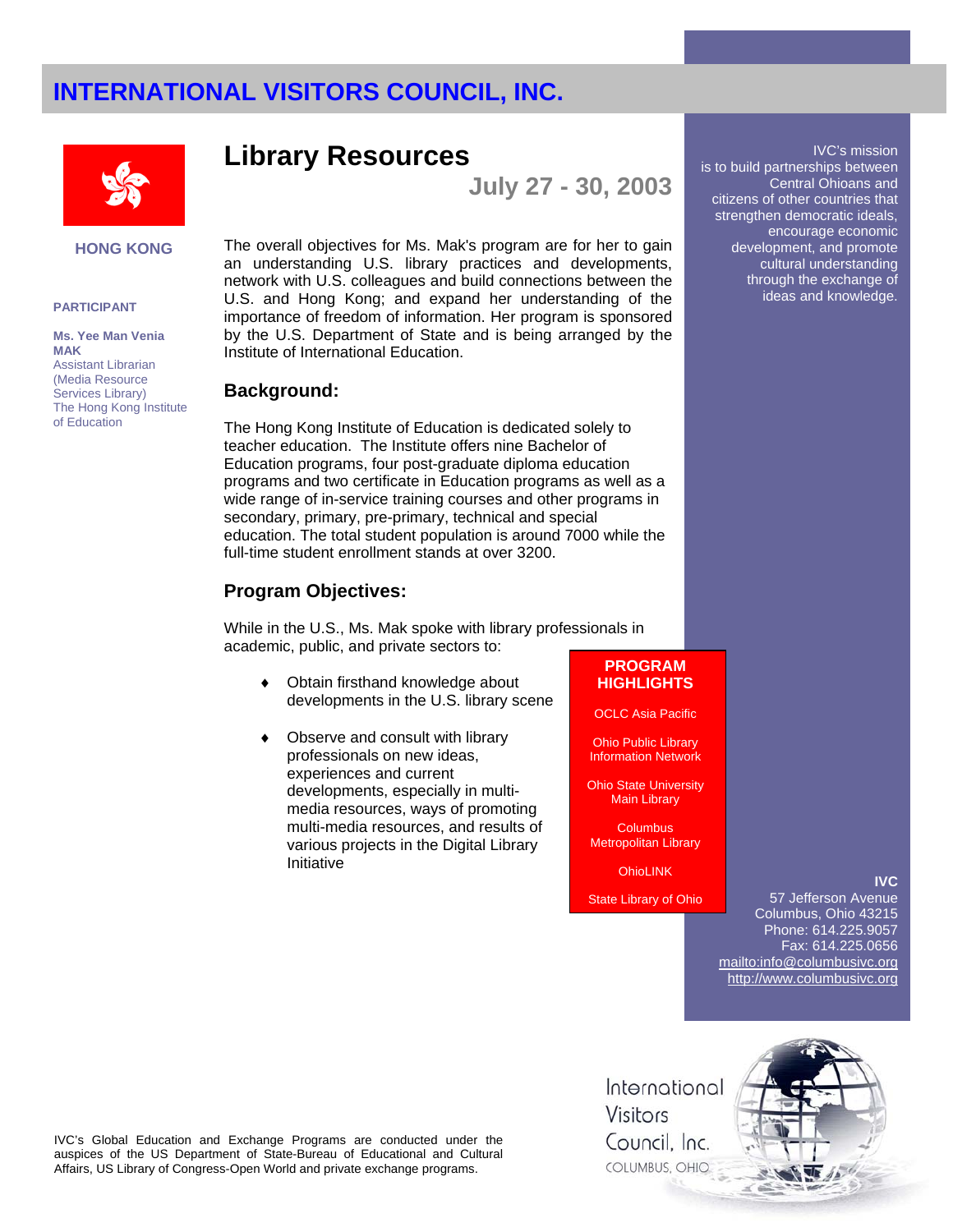

**HONG KONG**

#### **PARTICIPANT**

**Ms. Yee Man Venia MAK** Assistant Librarian (Media Resource Services Library) The Hong Kong Institute of Education

## **Library Resources**

**July 27 - 30, 2003** 

The overall objectives for Ms. Mak's program are for her to gain an understanding U.S. library practices and developments, network with U.S. colleagues and build connections between the U.S. and Hong Kong; and expand her understanding of the importance of freedom of information. Her program is sponsored by the U.S. Department of State and is being arranged by the Institute of International Education.

#### **Background:**

The Hong Kong Institute of Education is dedicated solely to teacher education. The Institute offers nine Bachelor of Education programs, four post-graduate diploma education programs and two certificate in Education programs as well as a wide range of in-service training courses and other programs in secondary, primary, pre-primary, technical and special education. The total student population is around 7000 while the full-time student enrollment stands at over 3200.

### **Program Objectives:**

While in the U.S., Ms. Mak spoke with library professionals in academic, public, and private sectors to:

- ♦ Obtain firsthand knowledge about developments in the U.S. library scene
- Observe and consult with library professionals on new ideas, experiences and current developments, especially in multimedia resources, ways of promoting multi-media resources, and results of various projects in the Digital Library Initiative

## **PROGRAM HIGHLIGHTS**

OCLC Asia Pacific

Ohio Public Library Information Network

Ohio State University Main Library

**Columbus** Metropolitan Library

**OhioLINK** 

State Library of Ohio

57 Jefferson Avenue Columbus, Ohio 43215 Phone: 614.225.9057 Fax: 614.225.0656 mailto:info@columbusivc.org http://www.columbusivc.org

**IVC**

IVC's Global Education and Exchange Programs are conducted under the auspices of the US Department of State-Bureau of Educational and Cultural Affairs, US Library of Congress-Open World and private exchange programs.

International Visitors Council, Inc. COLUMBUS, OHIO



#### IVC's mission

is to build partnerships between Central Ohioans and citizens of other countries that strengthen democratic ideals, encourage economic development, and promote cultural understanding through the exchange of ideas and knowledge.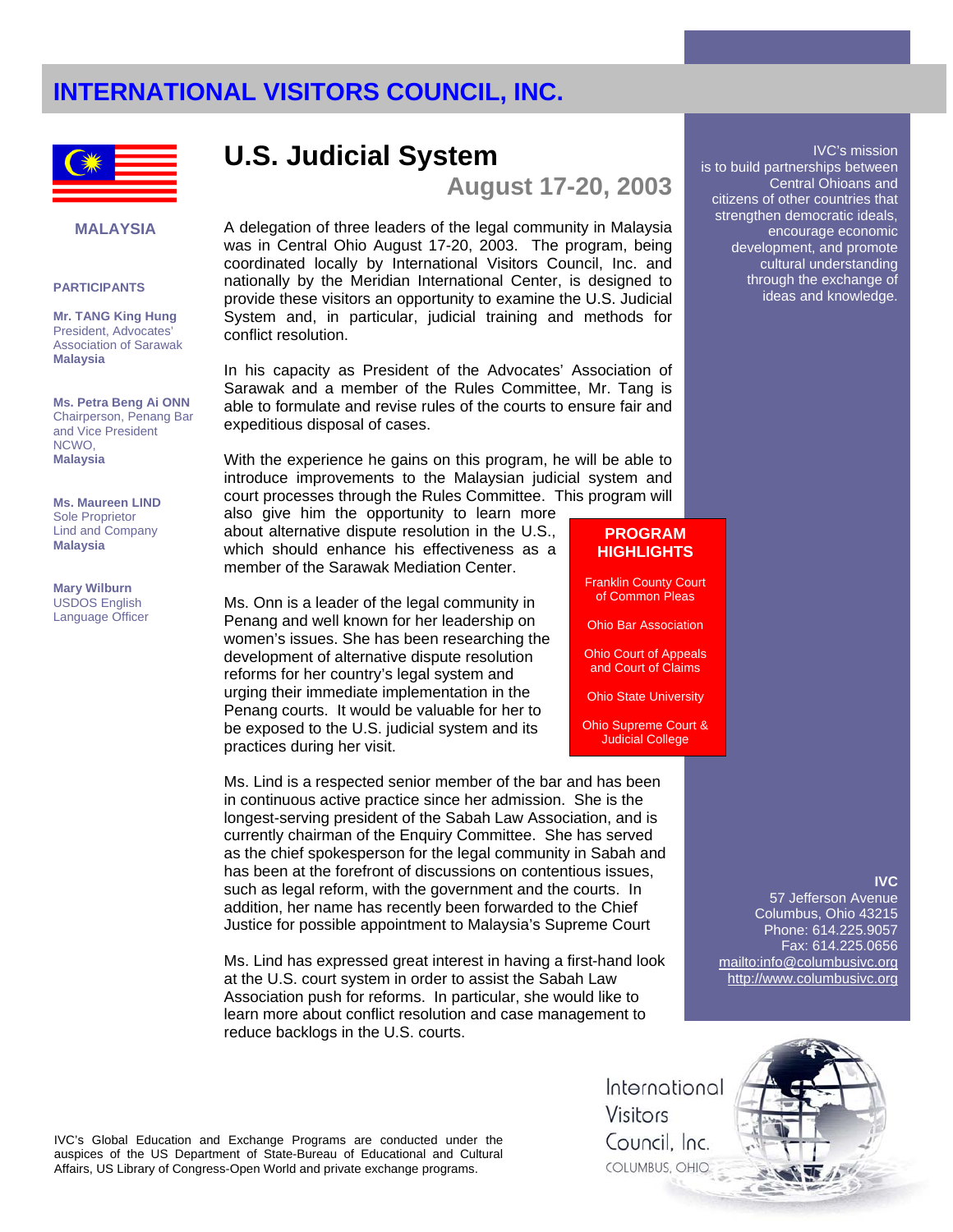

### **MALAYSIA**

#### **PARTICIPANTS**

**Mr. TANG King Hung** President, Advocates' Association of Sarawak **Malaysia** 

**Ms. Petra Beng Ai ONN**  Chairperson, Penang Bar and Vice President NCWO, **Malaysia** 

**Ms. Maureen LIND** Sole Proprietor Lind and Company **Malaysia** 

**Mary Wilburn**  USDOS English Language Officer

## **U.S. Judicial System**

**August 17-20, 2003** 

A delegation of three leaders of the legal community in Malaysia was in Central Ohio August 17-20, 2003. The program, being coordinated locally by International Visitors Council, Inc. and nationally by the Meridian International Center, is designed to provide these visitors an opportunity to examine the U.S. Judicial System and, in particular, judicial training and methods for conflict resolution.

In his capacity as President of the Advocates' Association of Sarawak and a member of the Rules Committee, Mr. Tang is able to formulate and revise rules of the courts to ensure fair and expeditious disposal of cases.

With the experience he gains on this program, he will be able to introduce improvements to the Malaysian judicial system and court processes through the Rules Committee. This program will

also give him the opportunity to learn more about alternative dispute resolution in the U.S., which should enhance his effectiveness as a member of the Sarawak Mediation Center.

Ms. Onn is a leader of the legal community in Penang and well known for her leadership on women's issues. She has been researching the development of alternative dispute resolution reforms for her country's legal system and urging their immediate implementation in the Penang courts. It would be valuable for her to be exposed to the U.S. judicial system and its practices during her visit.

Ms. Lind is a respected senior member of the bar and has been in continuous active practice since her admission. She is the longest-serving president of the Sabah Law Association, and is currently chairman of the Enquiry Committee. She has served as the chief spokesperson for the legal community in Sabah and has been at the forefront of discussions on contentious issues, such as legal reform, with the government and the courts. In addition, her name has recently been forwarded to the Chief Justice for possible appointment to Malaysia's Supreme Court

Ms. Lind has expressed great interest in having a first-hand look at the U.S. court system in order to assist the Sabah Law Association push for reforms. In particular, she would like to learn more about conflict resolution and case management to reduce backlogs in the U.S. courts.

#### IVC's mission is to build partnerships between Central Ohioans and citizens of other countries that strengthen democratic ideals, encourage economic development, and promote cultural understanding through the exchange of ideas and knowledge.

## **PROGRAM HIGHLIGHTS**

Franklin County Court of Common Pleas

Ohio Bar Association

Ohio Court of Appeals and Court of Claims

Ohio State University

Ohio Supreme Court & Judicial College

### **IVC**

57 Jefferson Avenue Columbus, Ohio 43215 Phone: 614.225.9057 Fax: 614.225.0656 mailto:info@columbusivc.org http://www.columbusivc.org

International Visitors Council, Inc. COLUMBUS, OHIO

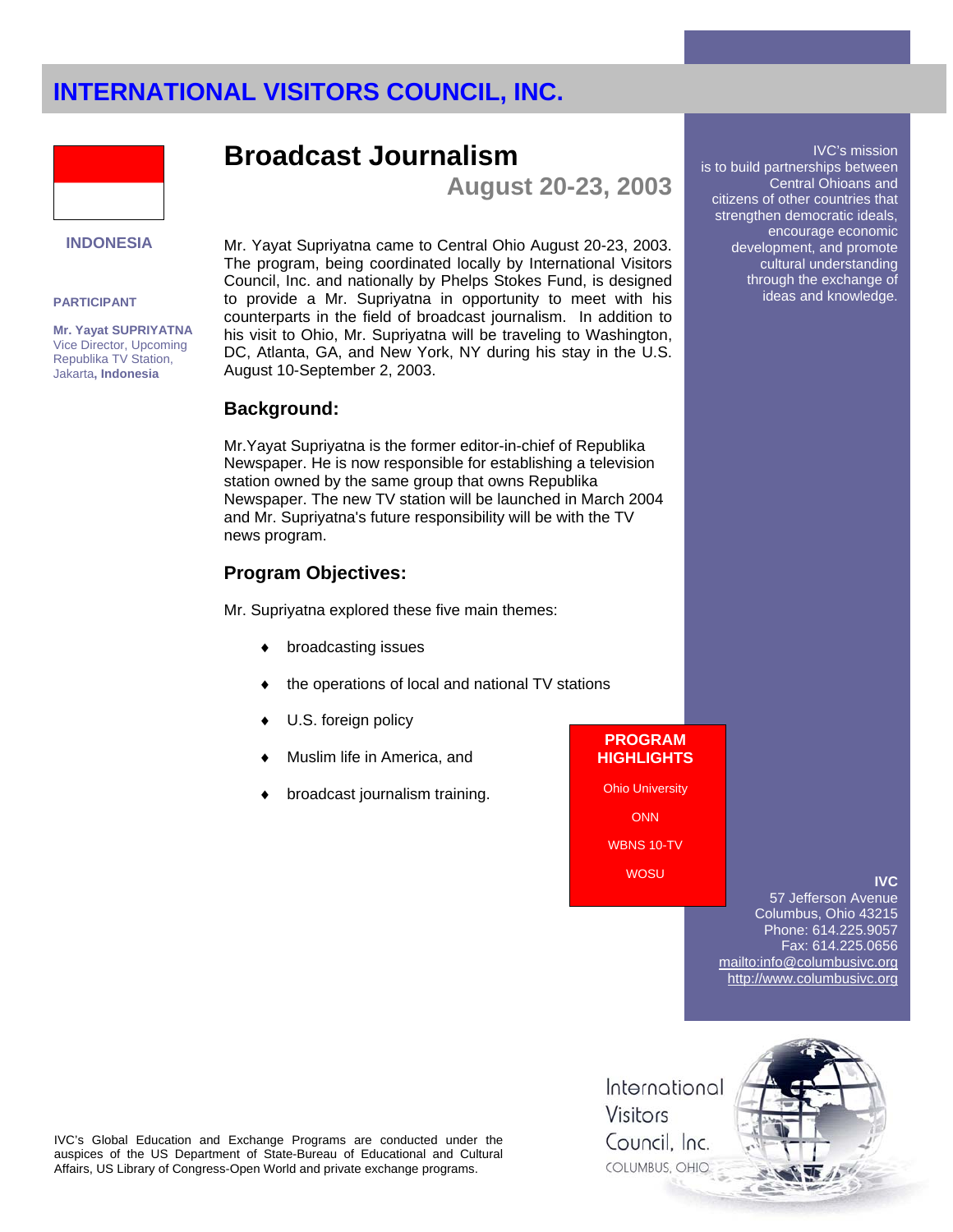

## **INDONESIA**

#### **PARTICIPANT**

**Mr. Yayat SUPRIYATNA** Vice Director, Upcoming Republika TV Station, Jakarta**, Indonesia**

**Broadcast Journalism** 

**August 20-23, 2003** 

Mr. Yayat Supriyatna came to Central Ohio August 20-23, 2003. The program, being coordinated locally by International Visitors Council, Inc. and nationally by Phelps Stokes Fund, is designed to provide a Mr. Supriyatna in opportunity to meet with his counterparts in the field of broadcast journalism. In addition to his visit to Ohio, Mr. Supriyatna will be traveling to Washington, DC, Atlanta, GA, and New York, NY during his stay in the U.S. August 10-September 2, 2003.

### **Background:**

Mr.Yayat Supriyatna is the former editor-in-chief of Republika Newspaper. He is now responsible for establishing a television station owned by the same group that owns Republika Newspaper. The new TV station will be launched in March 2004 and Mr. Supriyatna's future responsibility will be with the TV news program.

## **Program Objectives:**

Mr. Supriyatna explored these five main themes:

- broadcasting issues
- the operations of local and national TV stations
- U.S. foreign policy
- Muslim life in America, and
- broadcast journalism training.

is to build partnerships between Central Ohioans and citizens of other countries that strengthen democratic ideals, encourage economic development, and promote cultural understanding through the exchange of ideas and knowledge.

IVC's mission

**PROGRAM HIGHLIGHTS**

Ohio University

**ONN** WBNS 10-TV

WOSU

### **IVC**

57 Jefferson Avenue Columbus, Ohio 43215 Phone: 614.225.9057 Fax: 614.225.0656 mailto:info@columbusivc.org http://www.columbusivc.org

IVC's Global Education and Exchange Programs are conducted under the auspices of the US Department of State-Bureau of Educational and Cultural Affairs, US Library of Congress-Open World and private exchange programs.

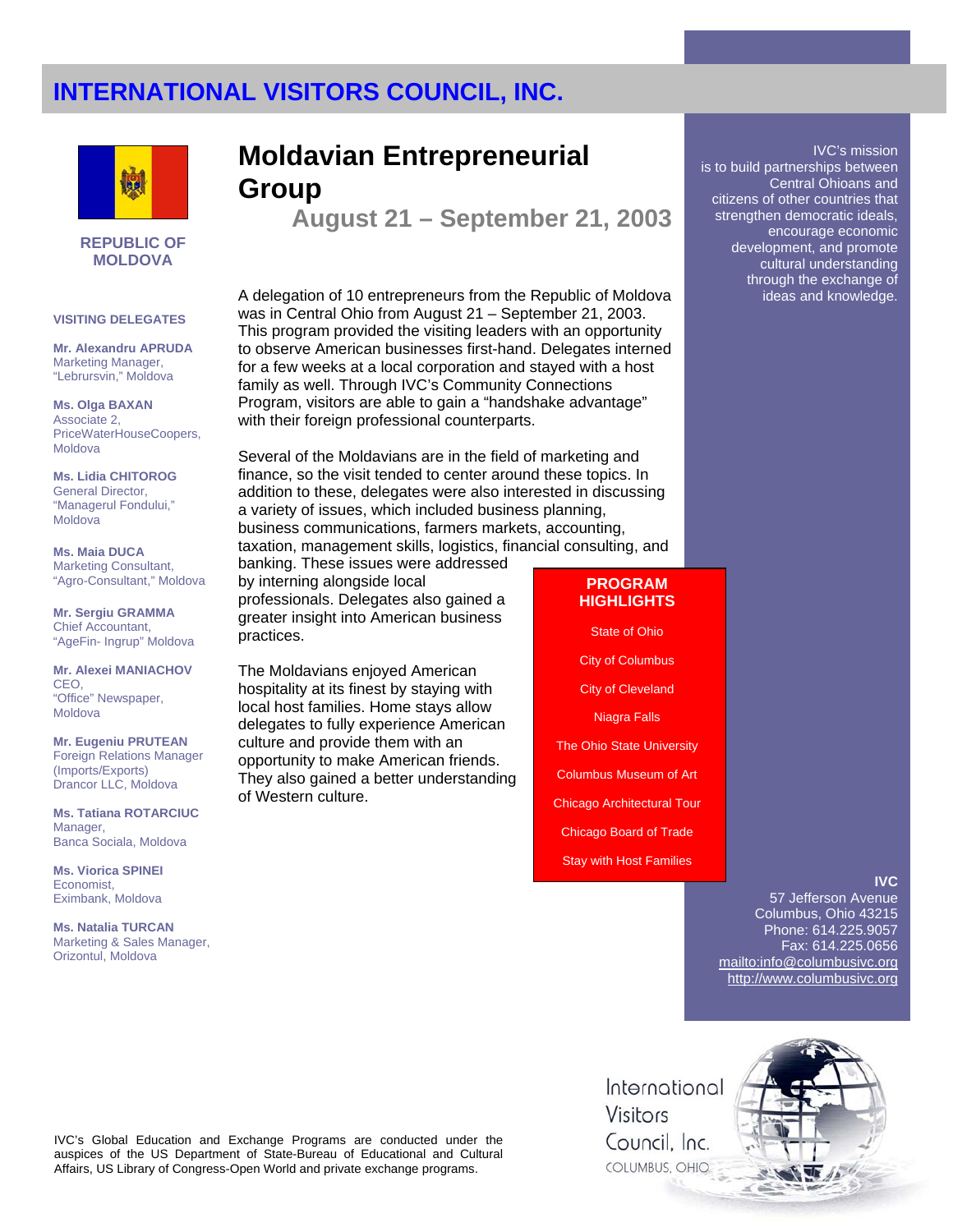

#### **REPUBLIC OF MOLDOVA**

#### **VISITING DELEGATES**

**Mr. Alexandru APRUDA** Marketing Manager, "Lebrursvin," Moldova

**Ms. Olga BAXAN**  Associate 2, PriceWaterHouseCoopers, Moldova

**Ms. Lidia CHITOROG**  General Director, "Managerul Fondului," Moldova

**Ms. Maia DUCA** Marketing Consultant, "Agro-Consultant," Moldova

**Mr. Sergiu GRAMMA** Chief Accountant, "AgeFin- Ingrup" Moldova

**Mr. Alexei MANIACHOV**  CEO, "Office" Newspaper, **Moldova** 

**Mr. Eugeniu PRUTEAN** Foreign Relations Manager (Imports/Exports) Drancor LLC, Moldova

**Ms. Tatiana ROTARCIUC** Manager, Banca Sociala, Moldova

**Ms. Viorica SPINEI**  Economist, Eximbank, Moldova

**Ms. Natalia TURCAN** Marketing & Sales Manager, Orizontul, Moldova

## **Moldavian Entrepreneurial Group**

**August 21 – September 21, 2003** 

A delegation of 10 entrepreneurs from the Republic of Moldova was in Central Ohio from August 21 – September 21, 2003. This program provided the visiting leaders with an opportunity to observe American businesses first-hand. Delegates interned for a few weeks at a local corporation and stayed with a host family as well. Through IVC's Community Connections Program, visitors are able to gain a "handshake advantage" with their foreign professional counterparts.

Several of the Moldavians are in the field of marketing and finance, so the visit tended to center around these topics. In addition to these, delegates were also interested in discussing a variety of issues, which included business planning, business communications, farmers markets, accounting, taxation, management skills, logistics, financial consulting, and

banking. These issues were addressed by interning alongside local professionals. Delegates also gained a greater insight into American business practices.

The Moldavians enjoyed American hospitality at its finest by staying with local host families. Home stays allow delegates to fully experience American culture and provide them with an opportunity to make American friends. They also gained a better understanding of Western culture.

### **PROGRAM HIGHLIGHTS**

State of Ohio

City of Columbus

City of Cleveland

Niagra Falls

The Ohio State University

Columbus Museum of Art

Chicago Architectural Tour

Chicago Board of Trade

Stay with Host Families

### **IVC**

IVC's mission

Central Ohioans and

encourage economic development, and promote cultural understanding through the exchange of ideas and knowledge.

is to build partnerships between

citizens of other countries that strengthen democratic ideals,

57 Jefferson Avenue Columbus, Ohio 43215 Phone: 614.225.9057 Fax: 614.225.0656 mailto:info@columbusivc.org http://www.columbusivc.org

IVC's Global Education and Exchange Programs are conducted under the auspices of the US Department of State-Bureau of Educational and Cultural Affairs, US Library of Congress-Open World and private exchange programs.

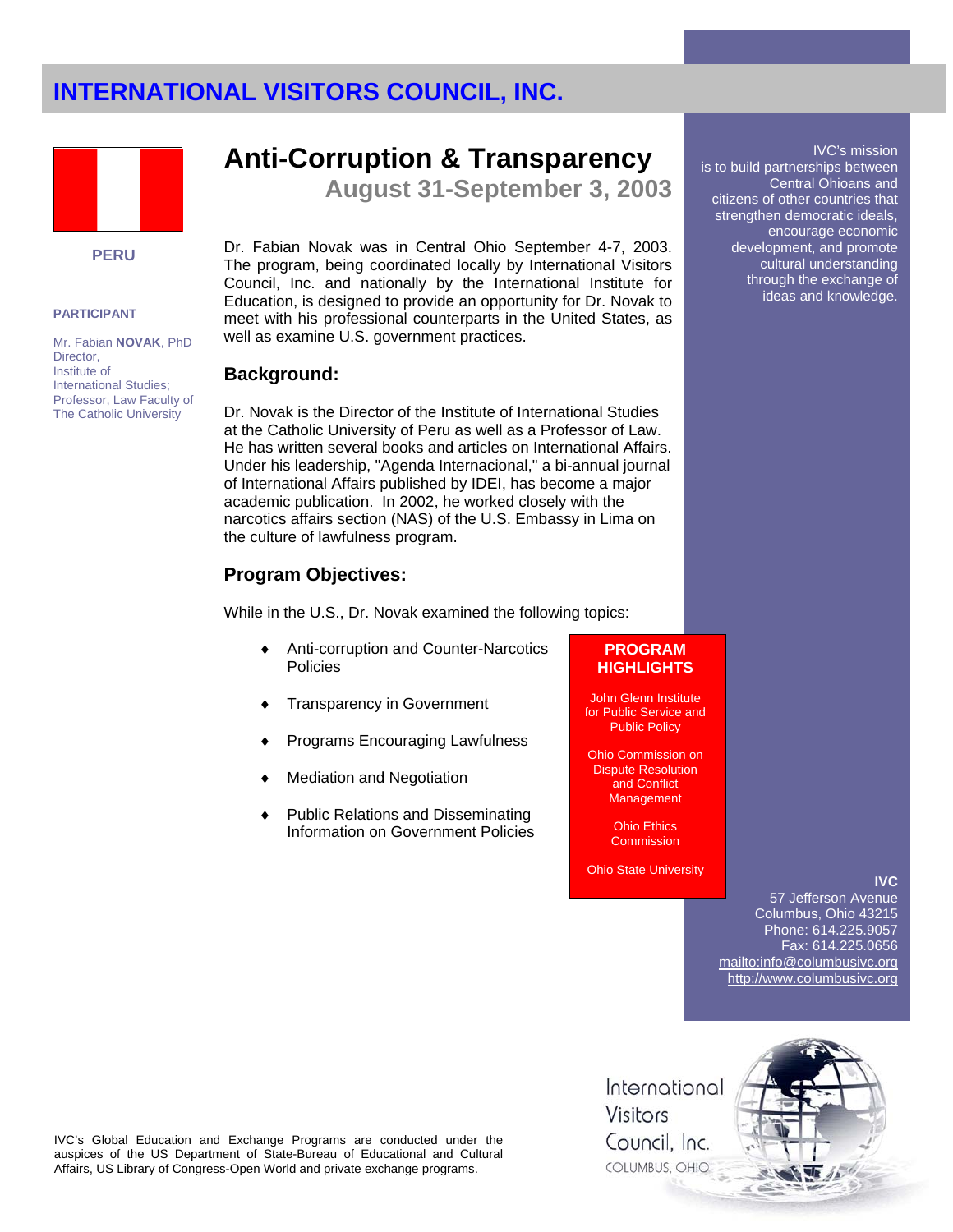

### **PERU**

### **PARTICIPANT**

Mr. Fabian **NOVAK**, PhD Director, Institute of International Studies; Professor, Law Faculty of The Catholic University

## **Anti-Corruption & Transparency**

**August 31-September 3, 2003** 

Dr. Fabian Novak was in Central Ohio September 4-7, 2003. The program, being coordinated locally by International Visitors Council, Inc. and nationally by the International Institute for Education, is designed to provide an opportunity for Dr. Novak to meet with his professional counterparts in the United States, as well as examine U.S. government practices.

### **Background:**

Dr. Novak is the Director of the Institute of International Studies at the Catholic University of Peru as well as a Professor of Law. He has written several books and articles on International Affairs. Under his leadership, "Agenda Internacional," a bi-annual journal of International Affairs published by IDEI, has become a major academic publication. In 2002, he worked closely with the narcotics affairs section (NAS) of the U.S. Embassy in Lima on the culture of lawfulness program.

## **Program Objectives:**

While in the U.S., Dr. Novak examined the following topics:

- Anti-corruption and Counter-Narcotics Policies
- Transparency in Government
- Programs Encouraging Lawfulness
- **Mediation and Negotiation**
- Public Relations and Disseminating Information on Government Policies

### **PROGRAM HIGHLIGHTS**

John Glenn Institute for Public Service and Public Policy

Ohio Commission on Dispute Resolution and Conflict **Management** 

> Ohio Ethics **Commission**

Ohio State University

**IVC**

IVC's mission

Central Ohioans and

encourage economic development, and promote cultural understanding through the exchange of ideas and knowledge.

is to build partnerships between

citizens of other countries that strengthen democratic ideals,

57 Jefferson Avenue Columbus, Ohio 43215 Phone: 614.225.9057 Fax: 614.225.0656 mailto:info@columbusivc.org http://www.columbusivc.org

IVC's Global Education and Exchange Programs are conducted under the auspices of the US Department of State-Bureau of Educational and Cultural Affairs, US Library of Congress-Open World and private exchange programs.

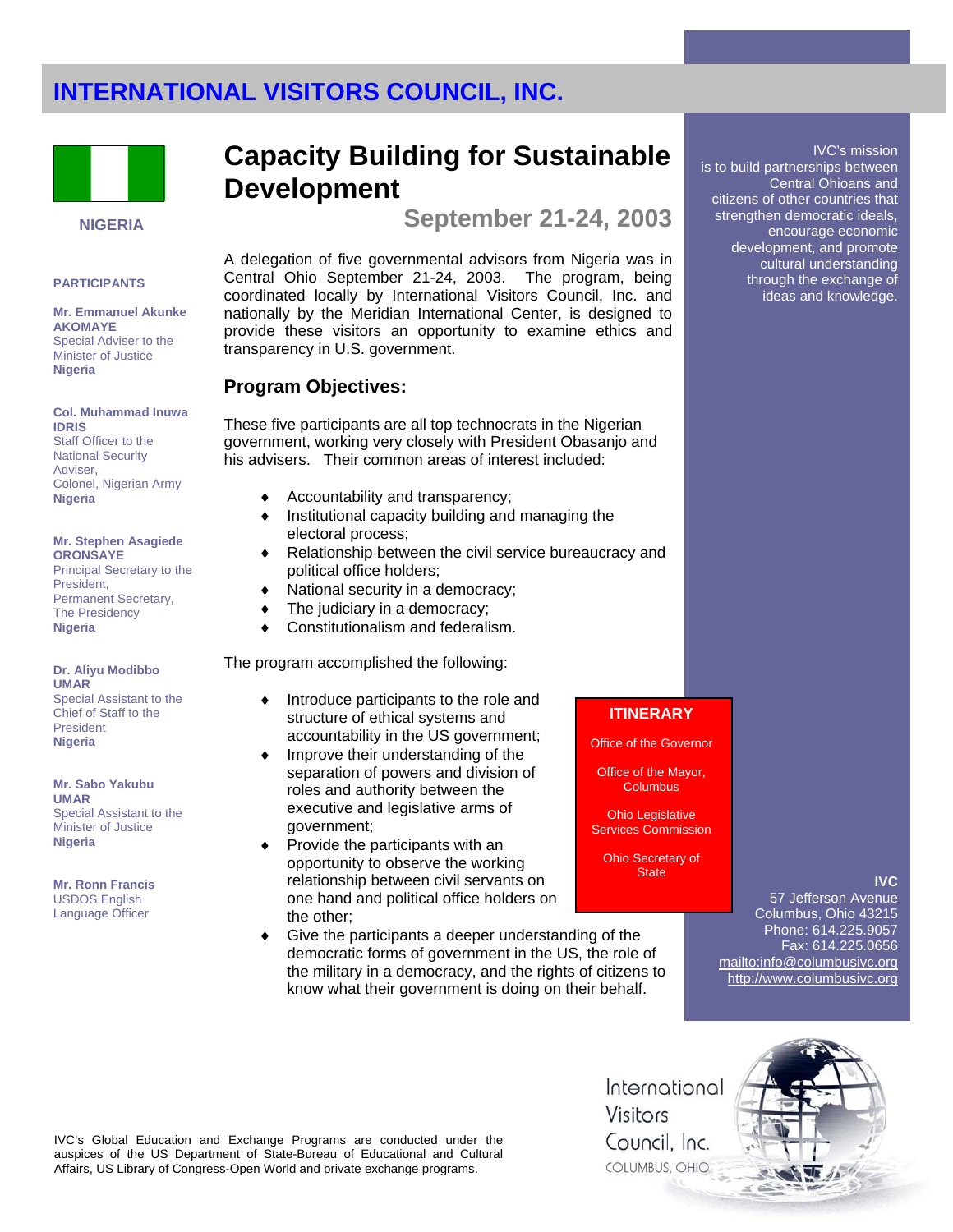

### **NIGERIA**

#### **PARTICIPANTS**

**Mr. Emmanuel Akunke AKOMAYE**  Special Adviser to the Minister of Justice **Nigeria** 

#### **Col. Muhammad Inuwa IDRIS**

Staff Officer to the National Security **Adviser** Colonel, Nigerian Army **Nigeria** 

#### **Mr. Stephen Asagiede ORONSAYE**

Principal Secretary to the President, Permanent Secretary, The Presidency **Nigeria** 

**Dr. Aliyu Modibbo UMAR** Special Assistant to the Chief of Staff to the President **Nigeria**

**Mr. Sabo Yakubu UMAR** Special Assistant to the Minister of Justice **Nigeria** 

**Mr. Ronn Francis**  USDOS English Language Officer

## **Capacity Building for Sustainable Development**

**September 21-24, 2003** 

A delegation of five governmental advisors from Nigeria was in Central Ohio September 21-24, 2003. The program, being coordinated locally by International Visitors Council, Inc. and nationally by the Meridian International Center, is designed to provide these visitors an opportunity to examine ethics and transparency in U.S. government.

### **Program Objectives:**

These five participants are all top technocrats in the Nigerian government, working very closely with President Obasanjo and his advisers. Their common areas of interest included:

- Accountability and transparency;
- ♦ Institutional capacity building and managing the electoral process;
- Relationship between the civil service bureaucracy and political office holders;
- National security in a democracy;
- The judiciary in a democracy;
- Constitutionalism and federalism.

### The program accomplished the following:

- Introduce participants to the role and structure of ethical systems and accountability in the US government;
- ♦ Improve their understanding of the separation of powers and division of roles and authority between the executive and legislative arms of government;
- Provide the participants with an opportunity to observe the working relationship between civil servants on one hand and political office holders on the other;
- Give the participants a deeper understanding of the democratic forms of government in the US, the role of the military in a democracy, and the rights of citizens to know what their government is doing on their behalf.

## **ITINERARY**

Office of the Governor

Office of the Mayor, **Columbus** 

Ohio Legislative Services Commission

Ohio Secretary of **State** 

### **IVC**

57 Jefferson Avenue Columbus, Ohio 43215 Phone: 614.225.9057 Fax: 614.225.0656 mailto:info@columbusivc.org http://www.columbusivc.org

IVC's Global Education and Exchange Programs are conducted under the auspices of the US Department of State-Bureau of Educational and Cultural Affairs, US Library of Congress-Open World and private exchange programs.

International Visitors Council. Inc. COLUMBUS, OHIO



IVC's mission

is to build partnerships between Central Ohioans and citizens of other countries that strengthen democratic ideals, encourage economic development, and promote cultural understanding through the exchange of ideas and knowledge.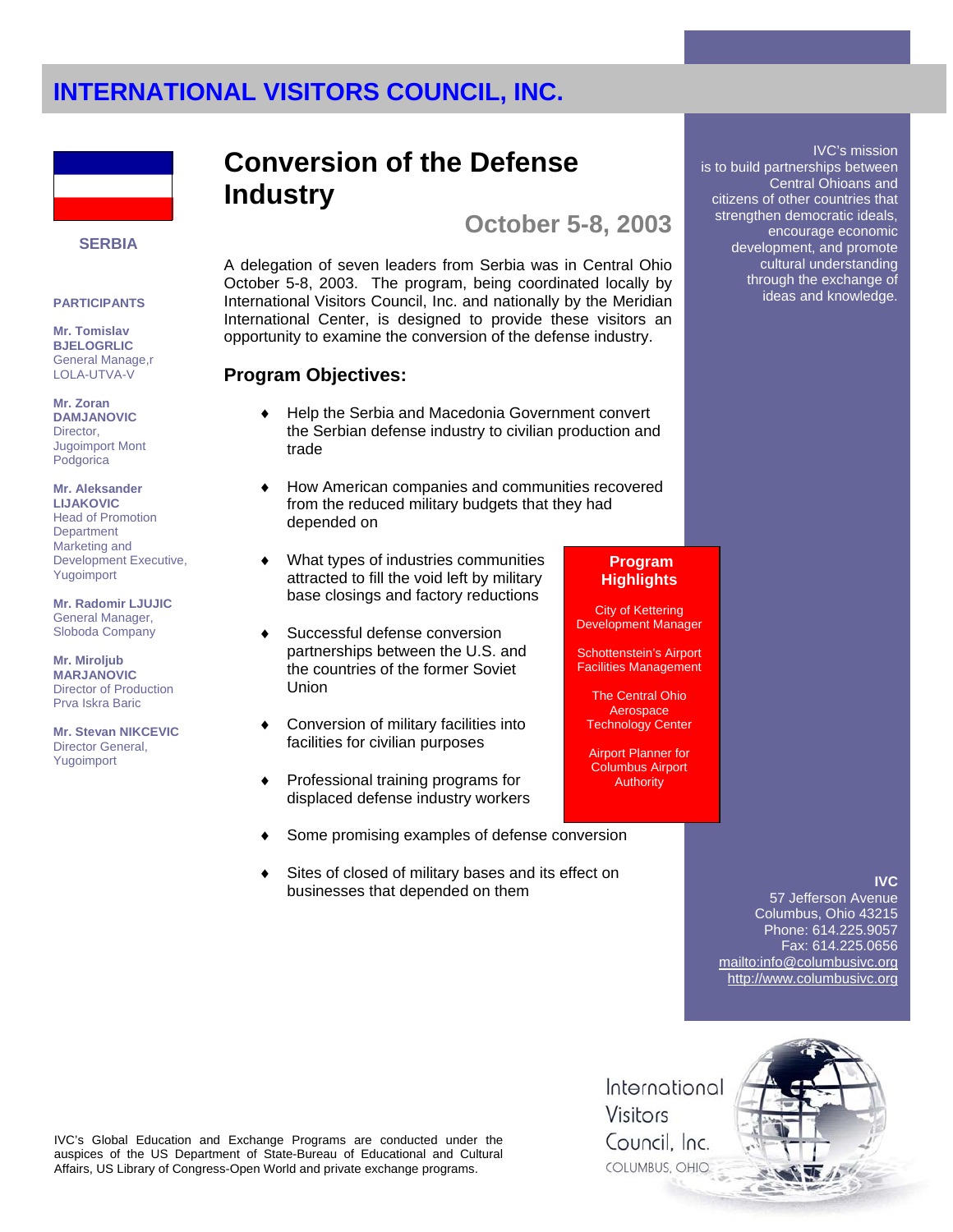

#### **SERBIA**

#### **PARTICIPANTS**

**Mr. Tomislav BJELOGRLIC**  General Manage,r LOLA-UTVA-V

**Mr. Zoran DAMJANOVIC** Director, Jugoimport Mont Podgorica

**Mr. Aleksander LIJAKOVIC**  Head of Promotion **Department** Marketing and Development Executive,

**Mr. Radomir LJUJIC**  General Manager, Sloboda Company

Yugoimport

**Mr. Miroljub MARJANOVIC** Director of Production Prva Iskra Baric

**Mr. Stevan NIKCEVIC** Director General, Yugoimport

## **Conversion of the Defense Industry**

**October 5-8, 2003** 

A delegation of seven leaders from Serbia was in Central Ohio October 5-8, 2003. The program, being coordinated locally by International Visitors Council, Inc. and nationally by the Meridian International Center, is designed to provide these visitors an opportunity to examine the conversion of the defense industry.

## **Program Objectives:**

- Help the Serbia and Macedonia Government convert the Serbian defense industry to civilian production and trade
- How American companies and communities recovered from the reduced military budgets that they had depended on
- What types of industries communities attracted to fill the void left by military base closings and factory reductions
- Successful defense conversion partnerships between the U.S. and the countries of the former Soviet Union
- Conversion of military facilities into facilities for civilian purposes
- ♦ Professional training programs for displaced defense industry workers
- Some promising examples of defense conversion
- Sites of closed of military bases and its effect on businesses that depended on them

## **Program Highlights**

City of Kettering Development Manager

Schottenstein's Airport Facilities Management

The Central Ohio **Aerospace** Technology Center

Airport Planner for Columbus Airport **Authority** 

## **IVC**

IVC's mission

Central Ohioans and

is to build partnerships between

citizens of other countries that strengthen democratic ideals, encourage economic development, and promote cultural understanding through the exchange of ideas and knowledge.

57 Jefferson Avenue Columbus, Ohio 43215 Phone: 614.225.9057 Fax: 614.225.0656 mailto:info@columbusivc.org http://www.columbusivc.org



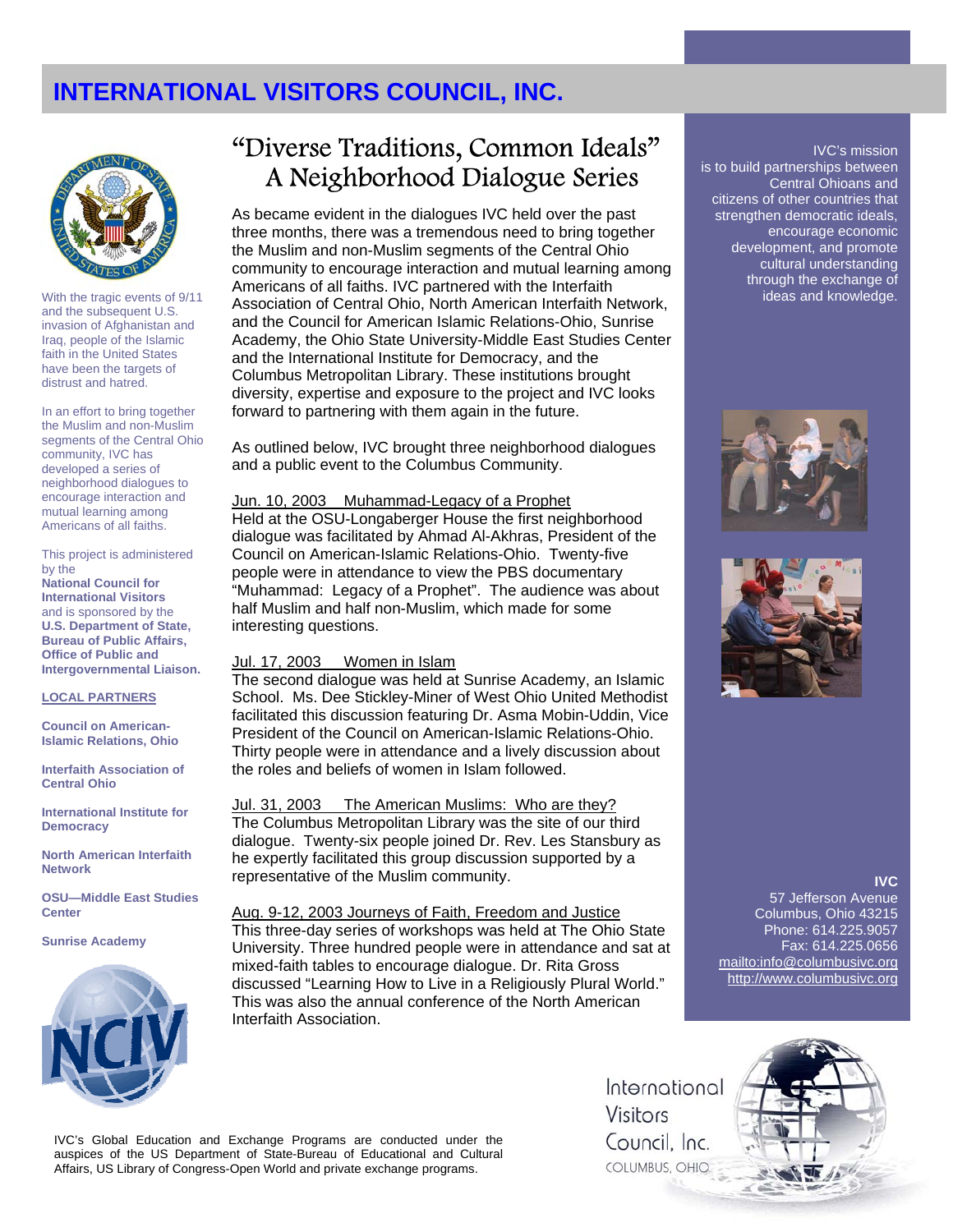

With the tragic events of 9/11 and the subsequent U.S. invasion of Afghanistan and Iraq, people of the Islamic faith in the United States have been the targets of distrust and hatred.

In an effort to bring together the Muslim and non-Muslim segments of the Central Ohio community, IVC has developed a series of neighborhood dialogues to encourage interaction and mutual learning among Americans of all faiths.

This project is administered by the **National Council for International Visitors** and is sponsored by the **U.S. Department of State, Bureau of Public Affairs, Office of Public and** 

**Intergovernmental Liaison.**

#### **LOCAL PARTNERS**

**Council on American-Islamic Relations, Ohio**

**Interfaith Association of Central Ohio** 

**International Institute for Democracy**

**North American Interfaith Network** 

**OSU—Middle East Studies Center** 

#### **Sunrise Academy**



## "Diverse Traditions, Common Ideals" A Neighborhood Dialogue Series

As became evident in the dialogues IVC held over the past three months, there was a tremendous need to bring together the Muslim and non-Muslim segments of the Central Ohio community to encourage interaction and mutual learning among Americans of all faiths. IVC partnered with the Interfaith Association of Central Ohio, North American Interfaith Network, and the Council for American Islamic Relations-Ohio, Sunrise Academy, the Ohio State University-Middle East Studies Center and the International Institute for Democracy, and the Columbus Metropolitan Library. These institutions brought diversity, expertise and exposure to the project and IVC looks forward to partnering with them again in the future.

As outlined below, IVC brought three neighborhood dialogues and a public event to the Columbus Community.

### Jun. 10, 2003 Muhammad-Legacy of a Prophet

Held at the OSU-Longaberger House the first neighborhood dialogue was facilitated by Ahmad Al-Akhras, President of the Council on American-Islamic Relations-Ohio. Twenty-five people were in attendance to view the PBS documentary "Muhammad: Legacy of a Prophet". The audience was about half Muslim and half non-Muslim, which made for some interesting questions.

### Jul. 17, 2003 Women in Islam

The second dialogue was held at Sunrise Academy, an Islamic School. Ms. Dee Stickley-Miner of West Ohio United Methodist facilitated this discussion featuring Dr. Asma Mobin-Uddin, Vice President of the Council on American-Islamic Relations-Ohio. Thirty people were in attendance and a lively discussion about the roles and beliefs of women in Islam followed.

Jul. 31, 2003 The American Muslims: Who are they? The Columbus Metropolitan Library was the site of our third dialogue. Twenty-six people joined Dr. Rev. Les Stansbury as he expertly facilitated this group discussion supported by a representative of the Muslim community.

Aug. 9-12, 2003 Journeys of Faith, Freedom and Justice This three-day series of workshops was held at The Ohio State University. Three hundred people were in attendance and sat at mixed-faith tables to encourage dialogue. Dr. Rita Gross discussed "Learning How to Live in a Religiously Plural World." This was also the annual conference of the North American Interfaith Association.

### IVC's mission

is to build partnerships between Central Ohioans and citizens of other countries that strengthen democratic ideals, encourage economic development, and promote cultural understanding through the exchange of ideas and knowledge.





#### **IVC**

57 Jefferson Avenue Columbus, Ohio 43215 Phone: 614.225.9057 Fax: 614.225.0656 mailto:info@columbusivc.org http://www.columbusivc.org

IVC's Global Education and Exchange Programs are conducted under the auspices of the US Department of State-Bureau of Educational and Cultural Affairs, US Library of Congress-Open World and private exchange programs.